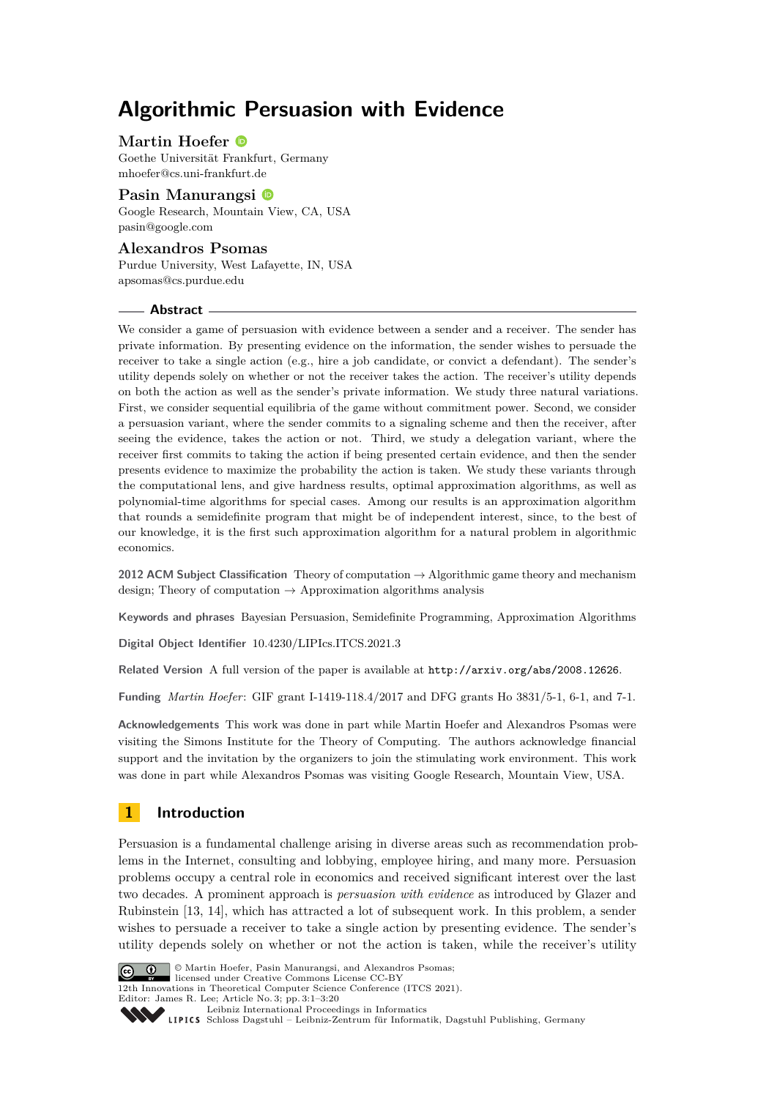# **Algorithmic Persuasion with Evidence**

# **Martin Hoefer**

Goethe Universität Frankfurt, Germany [mhoefer@cs.uni-frankfurt.de](mailto:mhoefer@cs.uni-frankfurt.de)

# **Pasin Manurangsi**

Google Research, Mountain View, CA, USA [pasin@google.com](mailto:pasin@google.com)

### **Alexandros Psomas**

Purdue University, West Lafayette, IN, USA [apsomas@cs.purdue.edu](mailto:apsomas@cs.purdue.edu)

### **Abstract**

We consider a game of persuasion with evidence between a sender and a receiver. The sender has private information. By presenting evidence on the information, the sender wishes to persuade the receiver to take a single action (e.g., hire a job candidate, or convict a defendant). The sender's utility depends solely on whether or not the receiver takes the action. The receiver's utility depends on both the action as well as the sender's private information. We study three natural variations. First, we consider sequential equilibria of the game without commitment power. Second, we consider a persuasion variant, where the sender commits to a signaling scheme and then the receiver, after seeing the evidence, takes the action or not. Third, we study a delegation variant, where the receiver first commits to taking the action if being presented certain evidence, and then the sender presents evidence to maximize the probability the action is taken. We study these variants through the computational lens, and give hardness results, optimal approximation algorithms, as well as polynomial-time algorithms for special cases. Among our results is an approximation algorithm that rounds a semidefinite program that might be of independent interest, since, to the best of our knowledge, it is the first such approximation algorithm for a natural problem in algorithmic economics.

**2012 ACM Subject Classification** Theory of computation → Algorithmic game theory and mechanism design; Theory of computation  $\rightarrow$  Approximation algorithms analysis

**Keywords and phrases** Bayesian Persuasion, Semidefinite Programming, Approximation Algorithms

**Digital Object Identifier** [10.4230/LIPIcs.ITCS.2021.3](https://doi.org/10.4230/LIPIcs.ITCS.2021.3)

**Related Version** A full version of the paper is available at <http://arxiv.org/abs/2008.12626>.

**Funding** *Martin Hoefer*: GIF grant I-1419-118.4/2017 and DFG grants Ho 3831/5-1, 6-1, and 7-1.

**Acknowledgements** This work was done in part while Martin Hoefer and Alexandros Psomas were visiting the Simons Institute for the Theory of Computing. The authors acknowledge financial support and the invitation by the organizers to join the stimulating work environment. This work was done in part while Alexandros Psomas was visiting Google Research, Mountain View, USA.

# **1 Introduction**

Persuasion is a fundamental challenge arising in diverse areas such as recommendation problems in the Internet, consulting and lobbying, employee hiring, and many more. Persuasion problems occupy a central role in economics and received significant interest over the last two decades. A prominent approach is *persuasion with evidence* as introduced by Glazer and Rubinstein [\[13,](#page-18-0) [14\]](#page-18-1), which has attracted a lot of subsequent work. In this problem, a sender wishes to persuade a receiver to take a single action by presenting evidence. The sender's utility depends solely on whether or not the action is taken, while the receiver's utility



© Martin Hoefer, Pasin Manurangsi, and Alexandros Psomas; licensed under Creative Commons License CC-BY

12th Innovations in Theoretical Computer Science Conference (ITCS 2021). Editor: James R. Lee; Article No. 3; pp. 3:1–3[:20](#page-19-0)

[Leibniz International Proceedings in Informatics](https://www.dagstuhl.de/lipics/)

[Schloss Dagstuhl – Leibniz-Zentrum für Informatik, Dagstuhl Publishing, Germany](https://www.dagstuhl.de)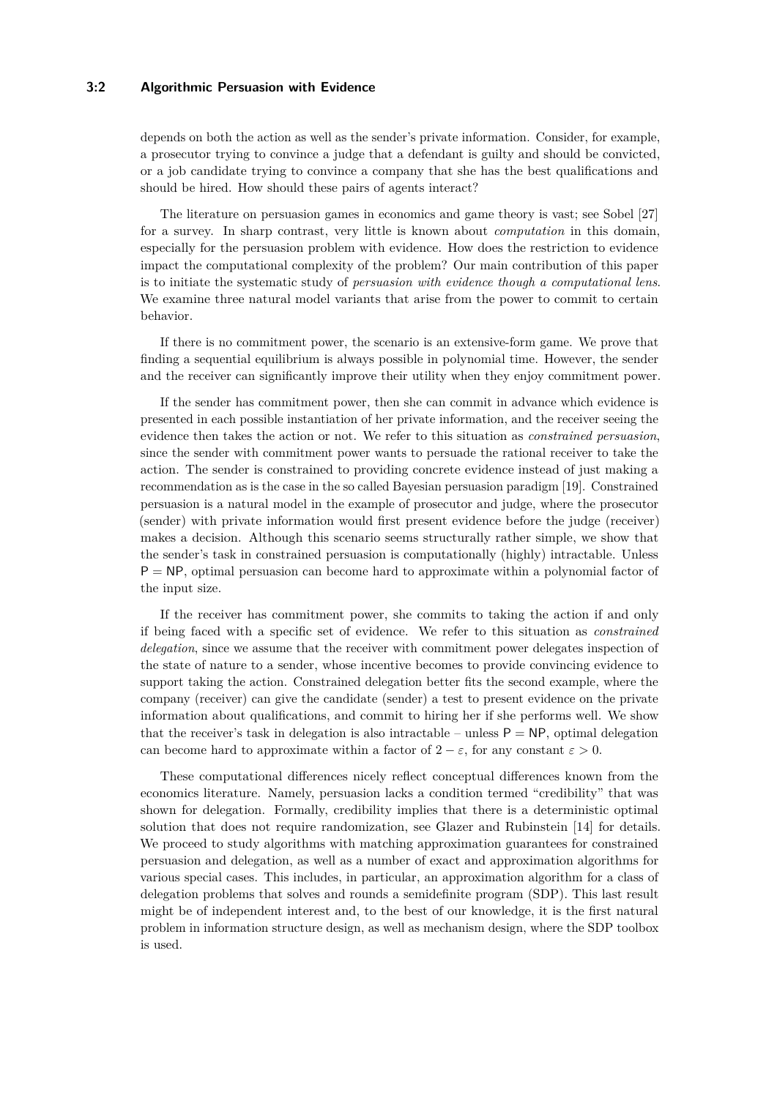### **3:2 Algorithmic Persuasion with Evidence**

depends on both the action as well as the sender's private information. Consider, for example, a prosecutor trying to convince a judge that a defendant is guilty and should be convicted, or a job candidate trying to convince a company that she has the best qualifications and should be hired. How should these pairs of agents interact?

The literature on persuasion games in economics and game theory is vast; see Sobel [\[27\]](#page-19-1) for a survey. In sharp contrast, very little is known about *computation* in this domain, especially for the persuasion problem with evidence. How does the restriction to evidence impact the computational complexity of the problem? Our main contribution of this paper is to initiate the systematic study of *persuasion with evidence though a computational lens*. We examine three natural model variants that arise from the power to commit to certain behavior.

If there is no commitment power, the scenario is an extensive-form game. We prove that finding a sequential equilibrium is always possible in polynomial time. However, the sender and the receiver can significantly improve their utility when they enjoy commitment power.

If the sender has commitment power, then she can commit in advance which evidence is presented in each possible instantiation of her private information, and the receiver seeing the evidence then takes the action or not. We refer to this situation as *constrained persuasion*, since the sender with commitment power wants to persuade the rational receiver to take the action. The sender is constrained to providing concrete evidence instead of just making a recommendation as is the case in the so called Bayesian persuasion paradigm [\[19\]](#page-18-2). Constrained persuasion is a natural model in the example of prosecutor and judge, where the prosecutor (sender) with private information would first present evidence before the judge (receiver) makes a decision. Although this scenario seems structurally rather simple, we show that the sender's task in constrained persuasion is computationally (highly) intractable. Unless  $P = NP$ , optimal persuasion can become hard to approximate within a polynomial factor of the input size.

If the receiver has commitment power, she commits to taking the action if and only if being faced with a specific set of evidence. We refer to this situation as *constrained delegation*, since we assume that the receiver with commitment power delegates inspection of the state of nature to a sender, whose incentive becomes to provide convincing evidence to support taking the action. Constrained delegation better fits the second example, where the company (receiver) can give the candidate (sender) a test to present evidence on the private information about qualifications, and commit to hiring her if she performs well. We show that the receiver's task in delegation is also intractable – unless  $P = NP$ , optimal delegation can become hard to approximate within a factor of  $2 - \varepsilon$ , for any constant  $\varepsilon > 0$ .

These computational differences nicely reflect conceptual differences known from the economics literature. Namely, persuasion lacks a condition termed "credibility" that was shown for delegation. Formally, credibility implies that there is a deterministic optimal solution that does not require randomization, see Glazer and Rubinstein [\[14\]](#page-18-1) for details. We proceed to study algorithms with matching approximation guarantees for constrained persuasion and delegation, as well as a number of exact and approximation algorithms for various special cases. This includes, in particular, an approximation algorithm for a class of delegation problems that solves and rounds a semidefinite program (SDP). This last result might be of independent interest and, to the best of our knowledge, it is the first natural problem in information structure design, as well as mechanism design, where the SDP toolbox is used.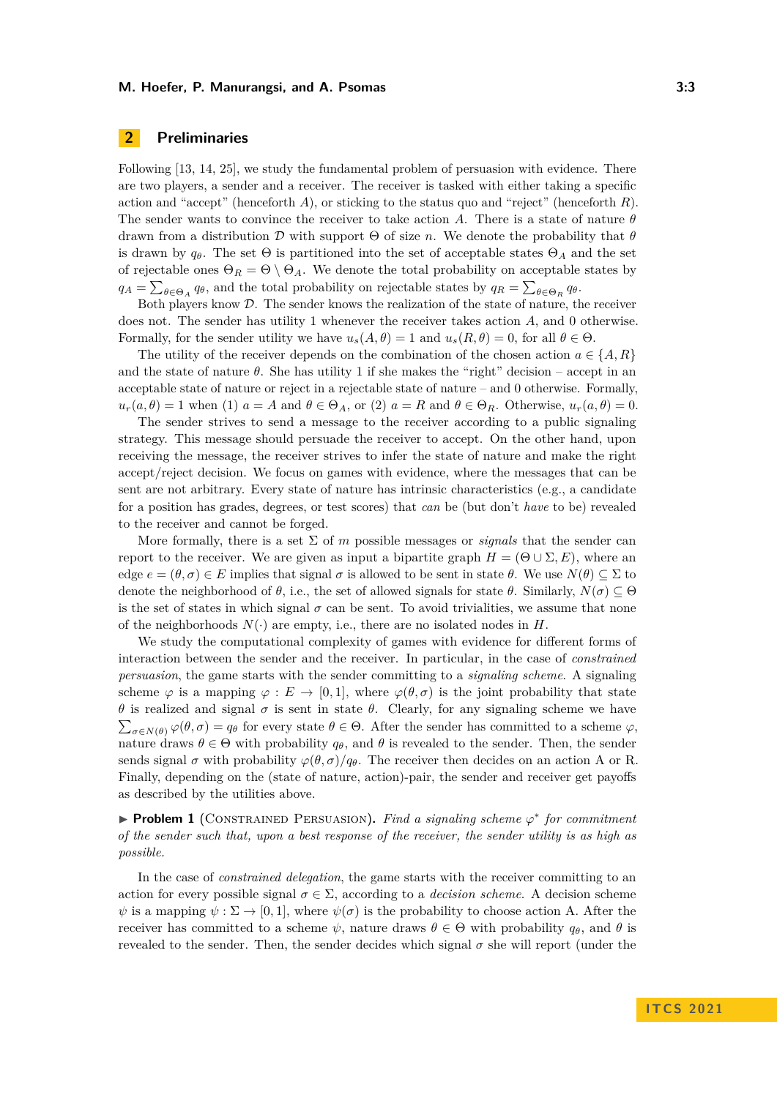# **2 Preliminaries**

Following [\[13,](#page-18-0) [14,](#page-18-1) [25\]](#page-19-2), we study the fundamental problem of persuasion with evidence. There are two players, a sender and a receiver. The receiver is tasked with either taking a specific action and "accept" (henceforth *A*), or sticking to the status quo and "reject" (henceforth *R*). The sender wants to convince the receiver to take action *A*. There is a state of nature *θ* drawn from a distribution D with support  $\Theta$  of size *n*. We denote the probability that  $\theta$ is drawn by  $q_{\theta}$ . The set  $\Theta$  is partitioned into the set of acceptable states  $\Theta_A$  and the set of rejectable ones  $\Theta_R = \Theta \setminus \Theta_A$ . We denote the total probability on acceptable states by  $q_A = \sum_{\theta \in \Theta_A} q_\theta$ , and the total probability on rejectable states by  $q_R = \sum_{\theta \in \Theta_R} q_\theta$ .

Both players know D. The sender knows the realization of the state of nature, the receiver does not. The sender has utility 1 whenever the receiver takes action *A*, and 0 otherwise. Formally, for the sender utility we have  $u_s(A, \theta) = 1$  and  $u_s(R, \theta) = 0$ , for all  $\theta \in \Theta$ .

The utility of the receiver depends on the combination of the chosen action  $a \in \{A, R\}$ and the state of nature  $\theta$ . She has utility 1 if she makes the "right" decision – accept in an acceptable state of nature or reject in a rejectable state of nature – and 0 otherwise. Formally,  $u_r(a, \theta) = 1$  when (1)  $a = A$  and  $\theta \in \Theta_A$ , or (2)  $a = R$  and  $\theta \in \Theta_R$ . Otherwise,  $u_r(a, \theta) = 0$ .

The sender strives to send a message to the receiver according to a public signaling strategy. This message should persuade the receiver to accept. On the other hand, upon receiving the message, the receiver strives to infer the state of nature and make the right accept/reject decision. We focus on games with evidence, where the messages that can be sent are not arbitrary. Every state of nature has intrinsic characteristics (e.g., a candidate for a position has grades, degrees, or test scores) that *can* be (but don't *have* to be) revealed to the receiver and cannot be forged.

More formally, there is a set  $\Sigma$  of *m* possible messages or *signals* that the sender can report to the receiver. We are given as input a bipartite graph  $H = (\Theta \cup \Sigma, E)$ , where an edge  $e = (\theta, \sigma) \in E$  implies that signal  $\sigma$  is allowed to be sent in state  $\theta$ . We use  $N(\theta) \subseteq \Sigma$  to denote the neighborhood of *θ*, i.e., the set of allowed signals for state *θ*. Similarly,  $N(\sigma) \subseteq \Theta$ is the set of states in which signal  $\sigma$  can be sent. To avoid trivialities, we assume that none of the neighborhoods  $N(\cdot)$  are empty, i.e., there are no isolated nodes in *H*.

We study the computational complexity of games with evidence for different forms of interaction between the sender and the receiver. In particular, in the case of *constrained persuasion*, the game starts with the sender committing to a *signaling scheme*. A signaling scheme  $\varphi$  is a mapping  $\varphi : E \to [0,1]$ , where  $\varphi(\theta, \sigma)$  is the joint probability that state *θ* is realized and signal  $\sigma$  is sent in state *θ*. Clearly, for any signaling scheme we have  $\sum_{\sigma \in N(\theta)} \varphi(\theta, \sigma) = q_\theta$  for every state  $\theta \in \Theta$ . After the sender has committed to a scheme  $\varphi$ , nature draws  $\theta \in \Theta$  with probability  $q_{\theta}$ , and  $\theta$  is revealed to the sender. Then, the sender sends signal  $\sigma$  with probability  $\varphi(\theta, \sigma)/q_{\theta}$ . The receiver then decides on an action A or R. Finally, depending on the (state of nature, action)-pair, the sender and receiver get payoffs as described by the utilities above.

▶ **Problem 1** (CONSTRAINED PERSUASION). Find a signaling scheme  $\varphi^*$  for commitment *of the sender such that, upon a best response of the receiver, the sender utility is as high as possible.*

In the case of *constrained delegation*, the game starts with the receiver committing to an action for every possible signal  $\sigma \in \Sigma$ , according to a *decision scheme*. A decision scheme  $\psi$  is a mapping  $\psi : \Sigma \to [0,1]$ , where  $\psi(\sigma)$  is the probability to choose action A. After the receiver has committed to a scheme  $\psi$ , nature draws  $\theta \in \Theta$  with probability  $q_{\theta}$ , and  $\theta$  is revealed to the sender. Then, the sender decides which signal  $\sigma$  she will report (under the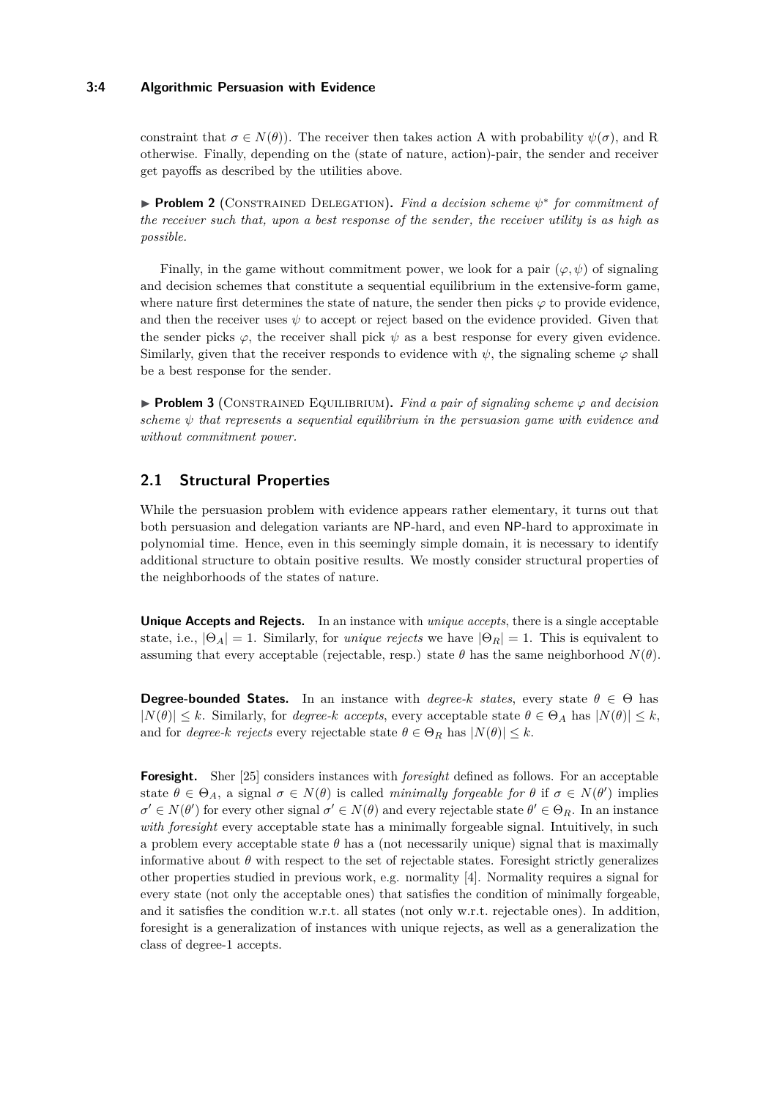### **3:4 Algorithmic Persuasion with Evidence**

constraint that  $\sigma \in N(\theta)$ ). The receiver then takes action A with probability  $\psi(\sigma)$ , and R otherwise. Finally, depending on the (state of nature, action)-pair, the sender and receiver get payoffs as described by the utilities above.

► **Problem 2** (CONSTRAINED DELEGATION). *Find a decision scheme*  $\psi^*$  for commitment of *the receiver such that, upon a best response of the sender, the receiver utility is as high as possible.*

Finally, in the game without commitment power, we look for a pair  $(\varphi, \psi)$  of signaling and decision schemes that constitute a sequential equilibrium in the extensive-form game, where nature first determines the state of nature, the sender then picks  $\varphi$  to provide evidence, and then the receiver uses  $\psi$  to accept or reject based on the evidence provided. Given that the sender picks  $\varphi$ , the receiver shall pick  $\psi$  as a best response for every given evidence. Similarly, given that the receiver responds to evidence with  $\psi$ , the signaling scheme  $\varphi$  shall be a best response for the sender.

**Problem 3** (CONSTRAINED EQUILIBRIUM). Find a pair of signaling scheme  $\varphi$  and decision *scheme ψ that represents a sequential equilibrium in the persuasion game with evidence and without commitment power.*

# **2.1 Structural Properties**

While the persuasion problem with evidence appears rather elementary, it turns out that both persuasion and delegation variants are NP-hard, and even NP-hard to approximate in polynomial time. Hence, even in this seemingly simple domain, it is necessary to identify additional structure to obtain positive results. We mostly consider structural properties of the neighborhoods of the states of nature.

**Unique Accepts and Rejects.** In an instance with *unique accepts*, there is a single acceptable state, i.e.,  $|\Theta_A| = 1$ . Similarly, for *unique rejects* we have  $|\Theta_R| = 1$ . This is equivalent to assuming that every acceptable (rejectable, resp.) state *θ* has the same neighborhood *N*(*θ*).

**Degree-bounded States.** In an instance with *degree-k states*, every state  $\theta \in \Theta$  has  $|N(\theta)| \leq k$ . Similarly, for *degree-k accepts*, every acceptable state  $\theta \in \Theta_A$  has  $|N(\theta)| \leq k$ , and for *degree-k rejects* every rejectable state  $\theta \in \Theta_R$  has  $|N(\theta)| \leq k$ .

**Foresight.** Sher [\[25\]](#page-19-2) considers instances with *foresight* defined as follows. For an acceptable state  $\theta \in \Theta_A$ , a signal  $\sigma \in N(\theta)$  is called *minimally forgeable for*  $\theta$  if  $\sigma \in N(\theta')$  implies  $\sigma' \in N(\theta')$  for every other signal  $\sigma' \in N(\theta)$  and every rejectable state  $\theta' \in \Theta_R$ . In an instance *with foresight* every acceptable state has a minimally forgeable signal. Intuitively, in such a problem every acceptable state  $\theta$  has a (not necessarily unique) signal that is maximally informative about  $\theta$  with respect to the set of rejectable states. Foresight strictly generalizes other properties studied in previous work, e.g. normality [\[4\]](#page-18-3). Normality requires a signal for every state (not only the acceptable ones) that satisfies the condition of minimally forgeable, and it satisfies the condition w.r.t. all states (not only w.r.t. rejectable ones). In addition, foresight is a generalization of instances with unique rejects, as well as a generalization the class of degree-1 accepts.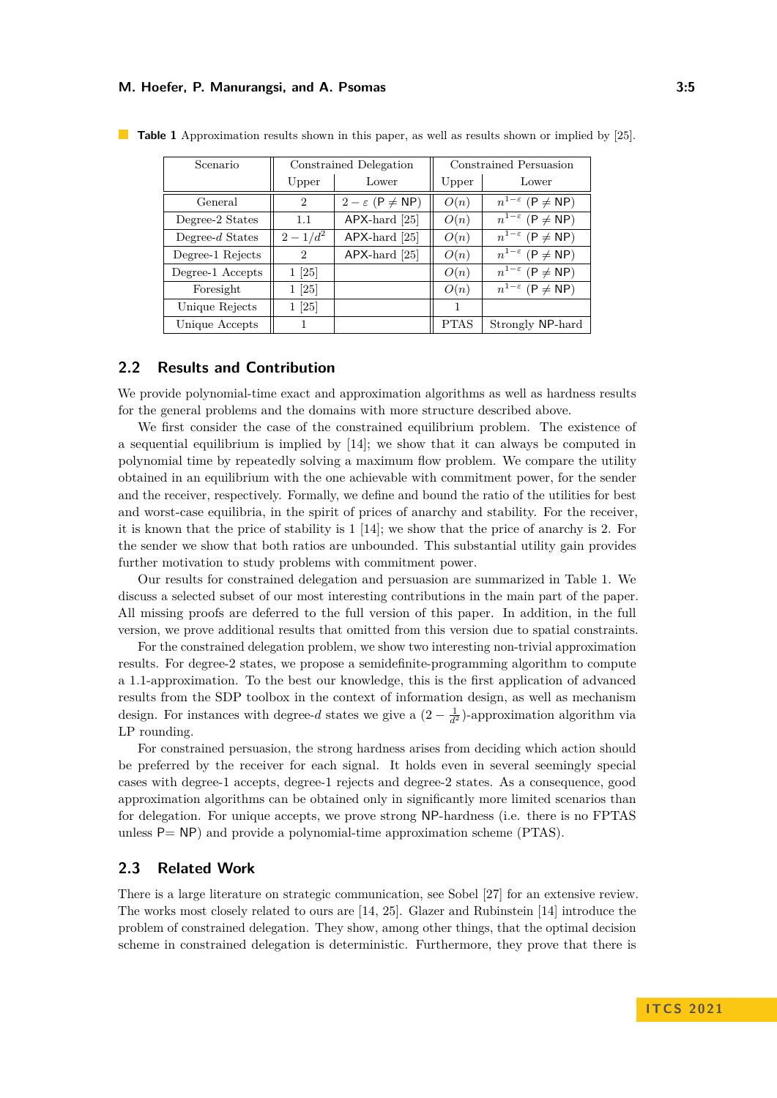| Scenario           | Constrained Delegation |                                 | Constrained Persuasion |                                   |
|--------------------|------------------------|---------------------------------|------------------------|-----------------------------------|
|                    | Upper                  | Lower                           | Upper                  | Lower                             |
| General            | $\overline{2}$         | $2 - \varepsilon$ (P $\neq$ NP) | O(n)                   | $n^{1-\epsilon}$ (P $\neq$ NP)    |
| Degree-2 States    | 1.1                    | $APX$ -hard [25]                | O(n)                   | $n^{1-\epsilon}$ (P $\neq$ NP)    |
| Degree- $d$ States | $2 - 1/d^2$            | $APX$ -hard [25]                | O(n)                   | $n^{1-\epsilon}$ (P $\neq$ NP)    |
| Degree-1 Rejects   | $\overline{2}$         | $APX$ -hard [25]                | O(n)                   | $n^{1-\epsilon}$ (P $\neq$ NP)    |
| Degree-1 Accepts   | $1 \; 25$              |                                 | O(n)                   | $n^{1-\epsilon}$ (P $\neq$ NP)    |
| Foresight          | $1 \; 25$              |                                 | O(n)                   | $n^{1-\varepsilon}$ (P $\neq$ NP) |
| Unique Rejects     | $1\;[25]$              |                                 | 1                      |                                   |
| Unique Accepts     |                        |                                 | <b>PTAS</b>            | Strongly NP-hard                  |

<span id="page-4-0"></span>**Table 1** Approximation results shown in this paper, as well as results shown or implied by [\[25\]](#page-19-2).

### **2.2 Results and Contribution**

We provide polynomial-time exact and approximation algorithms as well as hardness results for the general problems and the domains with more structure described above.

We first consider the case of the constrained equilibrium problem. The existence of a sequential equilibrium is implied by [\[14\]](#page-18-1); we show that it can always be computed in polynomial time by repeatedly solving a maximum flow problem. We compare the utility obtained in an equilibrium with the one achievable with commitment power, for the sender and the receiver, respectively. Formally, we define and bound the ratio of the utilities for best and worst-case equilibria, in the spirit of prices of anarchy and stability. For the receiver, it is known that the price of stability is 1 [\[14\]](#page-18-1); we show that the price of anarchy is 2. For the sender we show that both ratios are unbounded. This substantial utility gain provides further motivation to study problems with commitment power.

Our results for constrained delegation and persuasion are summarized in Table [1.](#page-4-0) We discuss a selected subset of our most interesting contributions in the main part of the paper. All missing proofs are deferred to the full version of this paper. In addition, in the full version, we prove additional results that omitted from this version due to spatial constraints.

For the constrained delegation problem, we show two interesting non-trivial approximation results. For degree-2 states, we propose a semidefinite-programming algorithm to compute a 1.1-approximation. To the best our knowledge, this is the first application of advanced results from the SDP toolbox in the context of information design, as well as mechanism design. For instances with degree-*d* states we give a  $(2 - \frac{1}{d^2})$ -approximation algorithm via LP rounding.

For constrained persuasion, the strong hardness arises from deciding which action should be preferred by the receiver for each signal. It holds even in several seemingly special cases with degree-1 accepts, degree-1 rejects and degree-2 states. As a consequence, good approximation algorithms can be obtained only in significantly more limited scenarios than for delegation. For unique accepts, we prove strong NP-hardness (i.e. there is no FPTAS unless  $P = NP$ ) and provide a polynomial-time approximation scheme (PTAS).

### **2.3 Related Work**

There is a large literature on strategic communication, see Sobel [\[27\]](#page-19-1) for an extensive review. The works most closely related to ours are [\[14,](#page-18-1) [25\]](#page-19-2). Glazer and Rubinstein [\[14\]](#page-18-1) introduce the problem of constrained delegation. They show, among other things, that the optimal decision scheme in constrained delegation is deterministic. Furthermore, they prove that there is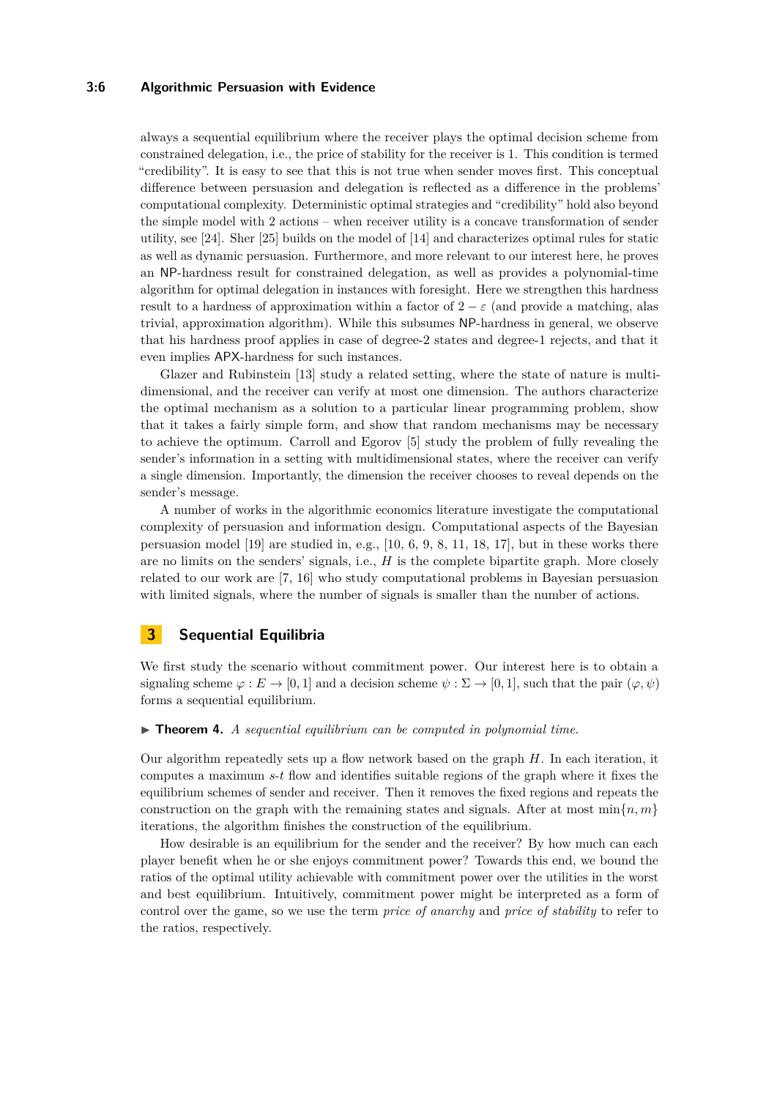### **3:6 Algorithmic Persuasion with Evidence**

always a sequential equilibrium where the receiver plays the optimal decision scheme from constrained delegation, i.e., the price of stability for the receiver is 1. This condition is termed "credibility". It is easy to see that this is not true when sender moves first. This conceptual difference between persuasion and delegation is reflected as a difference in the problems' computational complexity. Deterministic optimal strategies and "credibility" hold also beyond the simple model with 2 actions – when receiver utility is a concave transformation of sender utility, see [\[24\]](#page-18-4). Sher [\[25\]](#page-19-2) builds on the model of [\[14\]](#page-18-1) and characterizes optimal rules for static as well as dynamic persuasion. Furthermore, and more relevant to our interest here, he proves an NP-hardness result for constrained delegation, as well as provides a polynomial-time algorithm for optimal delegation in instances with foresight. Here we strengthen this hardness result to a hardness of approximation within a factor of  $2 - \varepsilon$  (and provide a matching, alas trivial, approximation algorithm). While this subsumes NP-hardness in general, we observe that his hardness proof applies in case of degree-2 states and degree-1 rejects, and that it even implies APX-hardness for such instances.

Glazer and Rubinstein [\[13\]](#page-18-0) study a related setting, where the state of nature is multidimensional, and the receiver can verify at most one dimension. The authors characterize the optimal mechanism as a solution to a particular linear programming problem, show that it takes a fairly simple form, and show that random mechanisms may be necessary to achieve the optimum. Carroll and Egorov [\[5\]](#page-18-5) study the problem of fully revealing the sender's information in a setting with multidimensional states, where the receiver can verify a single dimension. Importantly, the dimension the receiver chooses to reveal depends on the sender's message.

A number of works in the algorithmic economics literature investigate the computational complexity of persuasion and information design. Computational aspects of the Bayesian persuasion model [\[19\]](#page-18-2) are studied in, e.g., [\[10,](#page-18-6) [6,](#page-18-7) [9,](#page-18-8) [8,](#page-18-9) [11,](#page-18-10) [18,](#page-18-11) [17\]](#page-18-12), but in these works there are no limits on the senders' signals, i.e., *H* is the complete bipartite graph. More closely related to our work are [\[7,](#page-18-13) [16\]](#page-18-14) who study computational problems in Bayesian persuasion with limited signals, where the number of signals is smaller than the number of actions.

# **3 Sequential Equilibria**

We first study the scenario without commitment power. Our interest here is to obtain a signaling scheme  $\varphi : E \to [0,1]$  and a decision scheme  $\psi : \Sigma \to [0,1]$ , such that the pair  $(\varphi, \psi)$ forms a sequential equilibrium.

#### $\blacktriangleright$  **Theorem 4.** *A sequential equilibrium can be computed in polynomial time.*

Our algorithm repeatedly sets up a flow network based on the graph *H*. In each iteration, it computes a maximum *s*-*t* flow and identifies suitable regions of the graph where it fixes the equilibrium schemes of sender and receiver. Then it removes the fixed regions and repeats the construction on the graph with the remaining states and signals. After at most  $\min\{n, m\}$ iterations, the algorithm finishes the construction of the equilibrium.

How desirable is an equilibrium for the sender and the receiver? By how much can each player benefit when he or she enjoys commitment power? Towards this end, we bound the ratios of the optimal utility achievable with commitment power over the utilities in the worst and best equilibrium. Intuitively, commitment power might be interpreted as a form of control over the game, so we use the term *price of anarchy* and *price of stability* to refer to the ratios, respectively.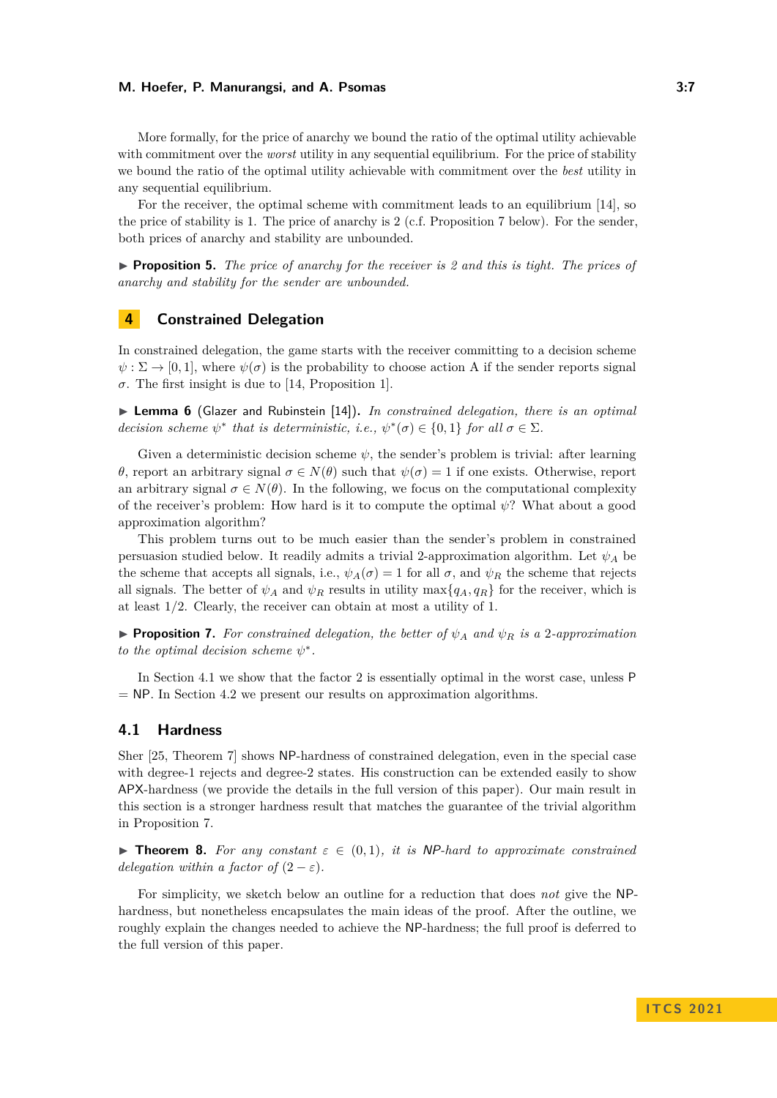More formally, for the price of anarchy we bound the ratio of the optimal utility achievable with commitment over the *worst* utility in any sequential equilibrium. For the price of stability we bound the ratio of the optimal utility achievable with commitment over the *best* utility in any sequential equilibrium.

For the receiver, the optimal scheme with commitment leads to an equilibrium [\[14\]](#page-18-1), so the price of stability is 1. The price of anarchy is 2 (c.f. Proposition [7](#page-6-0) below). For the sender, both prices of anarchy and stability are unbounded.

I **Proposition 5.** *The price of anarchy for the receiver is 2 and this is tight. The prices of anarchy and stability for the sender are unbounded.*

# **4 Constrained Delegation**

In constrained delegation, the game starts with the receiver committing to a decision scheme  $\psi : \Sigma \to [0,1]$ , where  $\psi(\sigma)$  is the probability to choose action A if the sender reports signal *σ*. The first insight is due to [\[14,](#page-18-1) Proposition 1].

▶ Lemma 6 (Glazer and Rubinstein [\[14\]](#page-18-1)). *In constrained delegation, there is an optimal decision scheme*  $\psi^*$  *that is deterministic, i.e.,*  $\psi^*(\sigma) \in \{0,1\}$  *for all*  $\sigma \in \Sigma$ *.* 

Given a deterministic decision scheme *ψ*, the sender's problem is trivial: after learning *θ*, report an arbitrary signal  $\sigma \in N(\theta)$  such that  $\psi(\sigma) = 1$  if one exists. Otherwise, report an arbitrary signal  $\sigma \in N(\theta)$ . In the following, we focus on the computational complexity of the receiver's problem: How hard is it to compute the optimal *ψ*? What about a good approximation algorithm?

This problem turns out to be much easier than the sender's problem in constrained persuasion studied below. It readily admits a trivial 2-approximation algorithm. Let *ψ<sup>A</sup>* be the scheme that accepts all signals, i.e.,  $\psi_A(\sigma) = 1$  for all  $\sigma$ , and  $\psi_R$  the scheme that rejects all signals. The better of  $\psi_A$  and  $\psi_R$  results in utility max $\{q_A, q_R\}$  for the receiver, which is at least 1*/*2. Clearly, the receiver can obtain at most a utility of 1.

<span id="page-6-0"></span>**Proposition 7.** For constrained delegation, the better of  $\psi_A$  and  $\psi_B$  is a 2*-approximation to the optimal decision scheme*  $\psi^*$ .

In Section [4.1](#page-6-1) we show that the factor 2 is essentially optimal in the worst case, unless P  $= NP$ . In Section [4.2](#page-7-0) we present our results on approximation algorithms.

### <span id="page-6-1"></span>**4.1 Hardness**

Sher [\[25,](#page-19-2) Theorem 7] shows NP-hardness of constrained delegation, even in the special case with degree-1 rejects and degree-2 states. His construction can be extended easily to show APX-hardness (we provide the details in the full version of this paper). Our main result in this section is a stronger hardness result that matches the guarantee of the trivial algorithm in Proposition [7.](#page-6-0)

<span id="page-6-2"></span>**Findamerical 8.** For any constant  $\varepsilon \in (0,1)$ , it is NP-hard to approximate constrained *delegation within a factor of*  $(2 - \varepsilon)$ *.* 

For simplicity, we sketch below an outline for a reduction that does *not* give the NPhardness, but nonetheless encapsulates the main ideas of the proof. After the outline, we roughly explain the changes needed to achieve the NP-hardness; the full proof is deferred to the full version of this paper.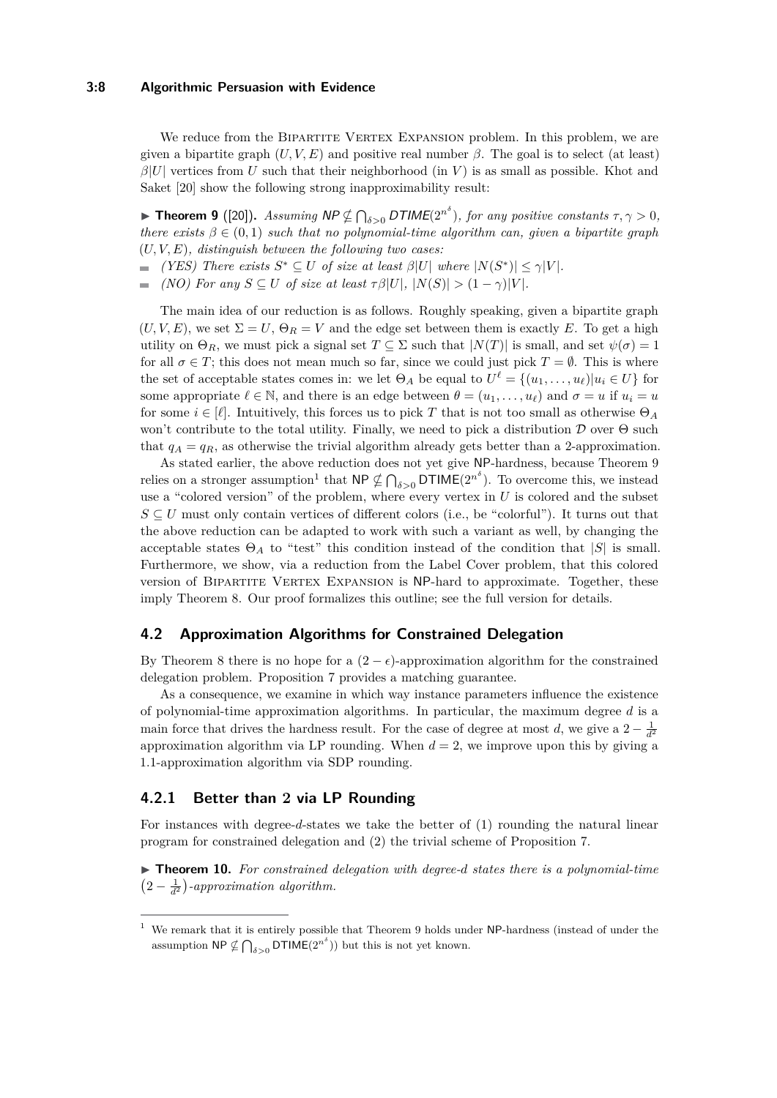### **3:8 Algorithmic Persuasion with Evidence**

We reduce from the BIPARTITE VERTEX EXPANSION problem. In this problem, we are given a bipartite graph  $(U, V, E)$  and positive real number  $\beta$ . The goal is to select (at least)  $\beta|U|$  vertices from *U* such that their neighborhood (in *V*) is as small as possible. Khot and Saket [\[20\]](#page-18-15) show the following strong inapproximability result:

<span id="page-7-1"></span>**Fineorem 9** ([\[20\]](#page-18-15)). Assuming  $NP \nsubseteq \bigcap_{\delta>0}DTIME(2^{n^{\delta}})$ , for any positive constants  $\tau, \gamma > 0$ , *there exists*  $\beta \in (0,1)$  *such that no polynomial-time algorithm can, given a bipartite graph* (*U, V, E*)*, distinguish between the following two cases:*

*(YES) There exists*  $S^* \subseteq U$  *of size at least*  $\beta|U|$  *where*  $|N(S^*)| \leq \gamma|V|$ *.* 

 $\blacksquare$  *(NO) For any*  $S \subseteq U$  *of size at least*  $\tau \beta |U|$ ,  $|N(S)| > (1 - \gamma)|V|$ *.* 

The main idea of our reduction is as follows. Roughly speaking, given a bipartite graph  $(U, V, E)$ , we set  $\Sigma = U$ ,  $\Theta_R = V$  and the edge set between them is exactly *E*. To get a high utility on  $\Theta_R$ , we must pick a signal set  $T \subseteq \Sigma$  such that  $|N(T)|$  is small, and set  $\psi(\sigma) = 1$ for all  $\sigma \in T$ ; this does not mean much so far, since we could just pick  $T = \emptyset$ . This is where the set of acceptable states comes in: we let  $\Theta_A$  be equal to  $U^{\ell} = \{(u_1, \ldots, u_{\ell}) | u_i \in U\}$  for some appropriate  $\ell \in \mathbb{N}$ , and there is an edge between  $\theta = (u_1, \ldots, u_\ell)$  and  $\sigma = u$  if  $u_i = u$ for some  $i \in [\ell]$ . Intuitively, this forces us to pick T that is not too small as otherwise  $\Theta_A$ won't contribute to the total utility. Finally, we need to pick a distribution  $\mathcal D$  over  $\Theta$  such that  $q_A = q_R$ , as otherwise the trivial algorithm already gets better than a 2-approximation.

As stated earlier, the above reduction does not yet give NP-hardness, because Theorem [9](#page-7-1) relies on a stronger assumption<sup>[1](#page-7-2)</sup> that  $NP \nsubseteq \bigcap_{\delta>0} DTIME(2^{n^{\delta}})$ . To overcome this, we instead use a "colored version" of the problem, where every vertex in *U* is colored and the subset  $S \subseteq U$  must only contain vertices of different colors (i.e., be "colorful"). It turns out that the above reduction can be adapted to work with such a variant as well, by changing the acceptable states  $\Theta_A$  to "test" this condition instead of the condition that  $|S|$  is small. Furthermore, we show, via a reduction from the Label Cover problem, that this colored version of Bipartite Vertex Expansion is NP-hard to approximate. Together, these imply Theorem [8.](#page-6-2) Our proof formalizes this outline; see the full version for details.

# <span id="page-7-0"></span>**4.2 Approximation Algorithms for Constrained Delegation**

By Theorem [8](#page-6-2) there is no hope for a  $(2 - \epsilon)$ -approximation algorithm for the constrained delegation problem. Proposition [7](#page-6-0) provides a matching guarantee.

As a consequence, we examine in which way instance parameters influence the existence of polynomial-time approximation algorithms. In particular, the maximum degree *d* is a main force that drives the hardness result. For the case of degree at most *d*, we give a  $2 - \frac{1}{d^2}$ approximation algorithm via LP rounding. When  $d = 2$ , we improve upon this by giving a 1.1-approximation algorithm via SDP rounding.

# **4.2.1 Better than 2 via LP Rounding**

For instances with degree-*d*-states we take the better of (1) rounding the natural linear program for constrained delegation and (2) the trivial scheme of Proposition [7.](#page-6-0)

▶ **Theorem 10.** For constrained delegation with degree-*d* states there is a polynomial-time  $\left(2-\frac{1}{d^2}\right)$ -approximation algorithm.

<span id="page-7-2"></span><sup>&</sup>lt;sup>1</sup> We remark that it is entirely possible that Theorem [9](#page-7-1) holds under NP-hardness (instead of under the assumption  $\mathsf{NP} \nsubseteq \bigcap_{\delta > 0} \mathsf{DTIME}(2^{n^{\delta}})$  but this is not yet known.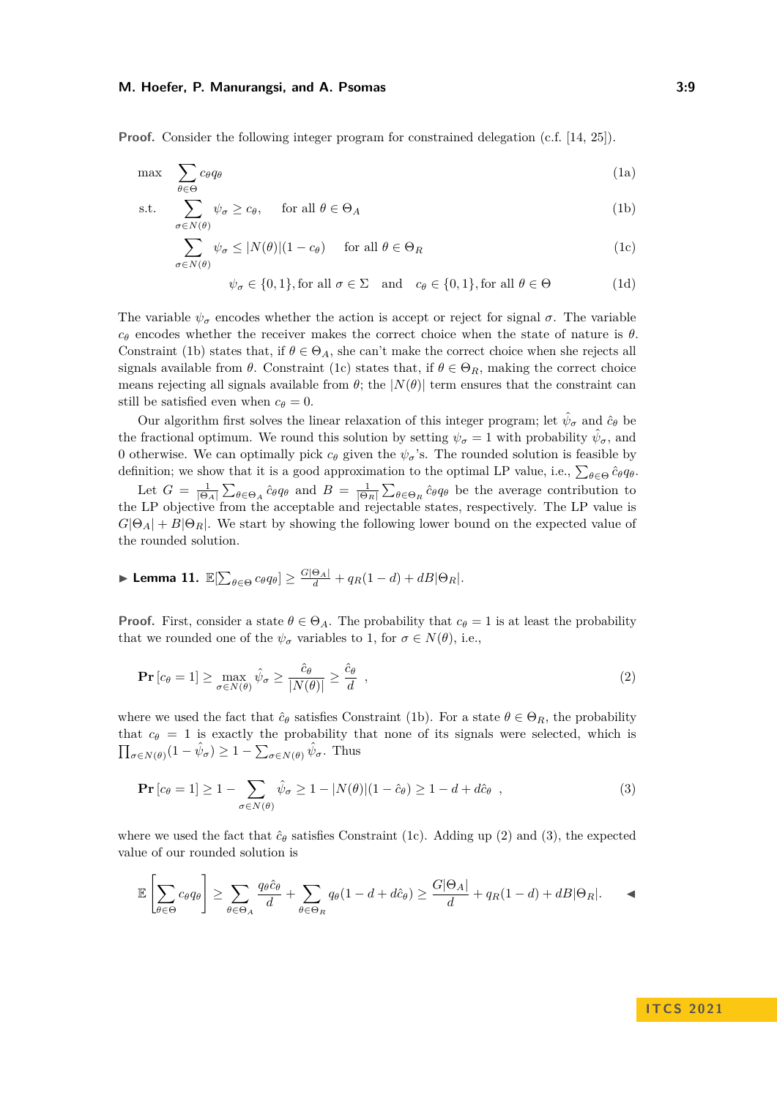**Proof.** Consider the following integer program for constrained delegation (c.f. [\[14,](#page-18-1) [25\]](#page-19-2)).

$$
\max \sum_{\theta \in \Theta} c_{\theta} q_{\theta} \tag{1a}
$$

s.t. 
$$
\sum_{\sigma \in N(\theta)} \psi_{\sigma} \ge c_{\theta}, \quad \text{for all } \theta \in \Theta_A
$$
 (1b)

$$
\sum_{\sigma \in N(\theta)} \psi_{\sigma} \le |N(\theta)| (1 - c_{\theta}) \quad \text{ for all } \theta \in \Theta_R
$$
 (1c)

<span id="page-8-1"></span><span id="page-8-0"></span>
$$
\psi_{\sigma} \in \{0, 1\}, \text{for all } \sigma \in \Sigma \quad \text{and} \quad c_{\theta} \in \{0, 1\}, \text{for all } \theta \in \Theta \tag{1d}
$$

The variable  $\psi_{\sigma}$  encodes whether the action is accept or reject for signal  $\sigma$ . The variable  $c_{\theta}$  encodes whether the receiver makes the correct choice when the state of nature is  $\theta$ . Constraint [\(1b\)](#page-8-0) states that, if  $\theta \in \Theta_A$ , she can't make the correct choice when she rejects all signals available from  $\theta$ . Constraint [\(1c\)](#page-8-1) states that, if  $\theta \in \Theta_R$ , making the correct choice means rejecting all signals available from  $\theta$ ; the  $|N(\theta)|$  term ensures that the constraint can still be satisfied even when  $c_{\theta} = 0$ .

Our algorithm first solves the linear relaxation of this integer program; let  $\hat{\psi}_{\sigma}$  and  $\hat{c}_{\theta}$  be the fractional optimum. We round this solution by setting  $\psi_{\sigma} = 1$  with probability  $\hat{\psi}_{\sigma}$ , and 0 otherwise. We can optimally pick  $c_{\theta}$  given the  $\psi_{\sigma}$ 's. The rounded solution is feasible by definition; we show that it is a good approximation to the optimal LP value, i.e.,  $\sum_{\theta \in \Theta} \hat{c}_{\theta} q_{\theta}$ .

Let  $G = \frac{1}{|\Theta_A|} \sum_{\theta \in \Theta_A} \hat{c}_{\theta} q_{\theta}$  and  $B = \frac{1}{|\Theta_B|} \sum_{\theta \in \Theta_B} \hat{c}_{\theta} q_{\theta}$  be the average contribution to the LP objective from the acceptable and rejectable states, respectively. The LP value is  $G[\Theta_A] + B[\Theta_R]$ . We start by showing the following lower bound on the expected value of the rounded solution.

<span id="page-8-4"></span>
$$
\blacktriangleright \textbf{ Lemma 11. } \mathbb{E}[\sum_{\theta \in \Theta} c_{\theta} q_{\theta}] \geq \frac{G|\Theta_A|}{d} + q_R(1-d) + dB|\Theta_R|.
$$

**Proof.** First, consider a state  $\theta \in \Theta_A$ . The probability that  $c_\theta = 1$  is at least the probability that we rounded one of the  $\psi_{\sigma}$  variables to 1, for  $\sigma \in N(\theta)$ , i.e.,

<span id="page-8-2"></span>
$$
\mathbf{Pr}\left[c_{\theta} = 1\right] \ge \max_{\sigma \in N(\theta)} \hat{\psi}_{\sigma} \ge \frac{\hat{c}_{\theta}}{|N(\theta)|} \ge \frac{\hat{c}_{\theta}}{d} \quad , \tag{2}
$$

where we used the fact that  $\hat{c}_{\theta}$  satisfies Constraint [\(1b\)](#page-8-0). For a state  $\theta \in \Theta_R$ , the probability that  $c_{\theta} = 1$  is exactly the probability that none of its signals were selected, which is  $\prod_{\sigma \in N(\theta)} (1 - \hat{\psi}_{\sigma}) \geq 1 - \sum_{\sigma \in N(\theta)} \hat{\psi}_{\sigma}$ . Thus

<span id="page-8-3"></span>
$$
\Pr\left[c_{\theta}=1\right] \ge 1 - \sum_{\sigma \in N(\theta)} \hat{\psi}_{\sigma} \ge 1 - |N(\theta)| (1 - \hat{c}_{\theta}) \ge 1 - d + d\hat{c}_{\theta} \quad , \tag{3}
$$

where we used the fact that  $\hat{c}_{\theta}$  satisfies Constraint [\(1c\)](#page-8-1). Adding up [\(2\)](#page-8-2) and [\(3\)](#page-8-3), the expected value of our rounded solution is

$$
\mathbb{E}\left[\sum_{\theta\in\Theta}c_{\theta}q_{\theta}\right] \geq \sum_{\theta\in\Theta_A} \frac{q_{\theta}\hat{c}_{\theta}}{d} + \sum_{\theta\in\Theta_R} q_{\theta}(1-d+d\hat{c}_{\theta}) \geq \frac{G|\Theta_A|}{d} + q_R(1-d) + dB|\Theta_R|.
$$

# **I T C S 2 0 2 1**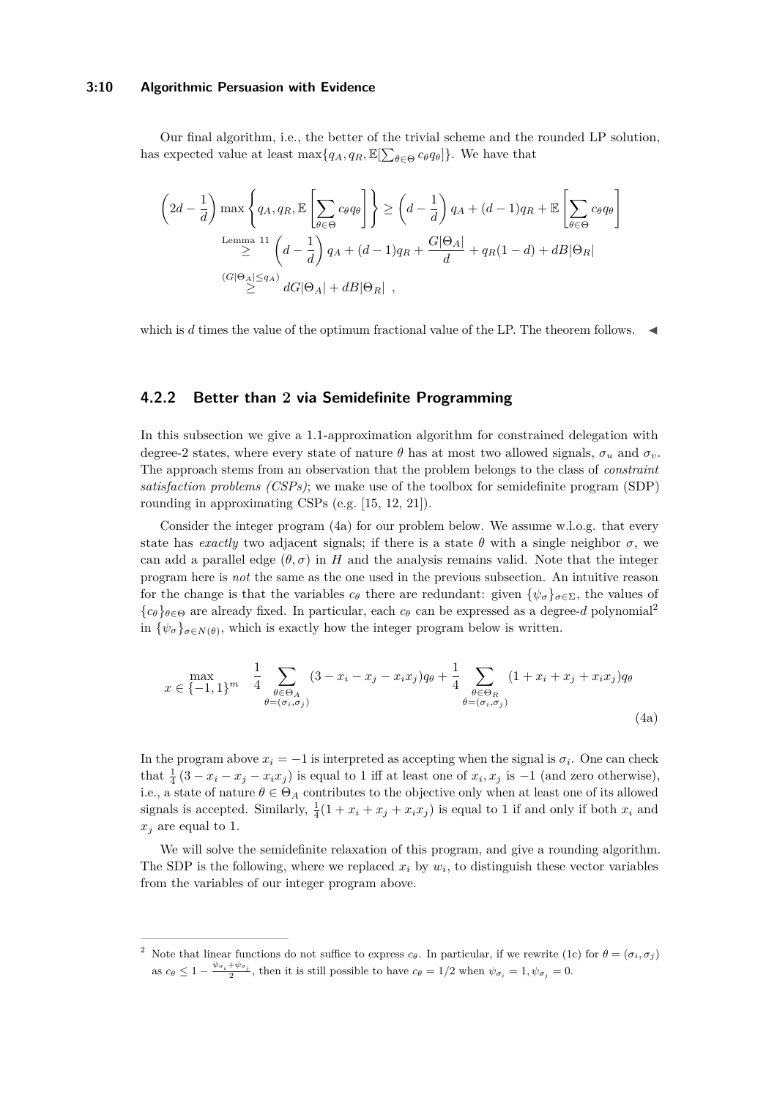#### **3:10 Algorithmic Persuasion with Evidence**

Our final algorithm, i.e., the better of the trivial scheme and the rounded LP solution, has expected value at least  $\max\{q_A, q_R, \mathbb{E}[\sum_{\theta \in \Theta} c_{\theta} q_{\theta}]\}$ . We have that

$$
\left(2d - \frac{1}{d}\right) \max\left\{q_A, q_R, \mathbb{E}\left[\sum_{\theta \in \Theta} c_{\theta}q_{\theta}\right]\right\} \ge \left(d - \frac{1}{d}\right)q_A + (d - 1)q_R + \mathbb{E}\left[\sum_{\theta \in \Theta} c_{\theta}q_{\theta}\right]
$$
  
\nLemma 11  
\n
$$
\ge \left(d - \frac{1}{d}\right)q_A + (d - 1)q_R + \frac{G|\Theta_A|}{d} + q_R(1 - d) + dB|\Theta_R|
$$
  
\n
$$
\stackrel{(G|\Theta_A| \le q_A)}{\ge} dG|\Theta_A| + dB|\Theta_R|,
$$

which is  $d$  times the value of the optimum fractional value of the LP. The theorem follows.  $\blacktriangleleft$ 

### **4.2.2 Better than 2 via Semidefinite Programming**

In this subsection we give a 1.1-approximation algorithm for constrained delegation with degree-2 states, where every state of nature  $\theta$  has at most two allowed signals,  $\sigma_u$  and  $\sigma_v$ . The approach stems from an observation that the problem belongs to the class of *constraint satisfaction problems (CSPs)*; we make use of the toolbox for semidefinite program (SDP) rounding in approximating CSPs (e.g. [\[15,](#page-18-16) [12,](#page-18-17) [21\]](#page-18-18)).

Consider the integer program [\(4a\)](#page-9-0) for our problem below. We assume w.l.o.g. that every state has *exactly* two adjacent signals; if there is a state  $\theta$  with a single neighbor  $\sigma$ , we can add a parallel edge  $(\theta, \sigma)$  in *H* and the analysis remains valid. Note that the integer program here is *not* the same as the one used in the previous subsection. An intuitive reason for the change is that the variables  $c_\theta$  there are redundant: given  $\{\psi_\sigma\}_{\sigma \in \Sigma}$ , the values of  ${c_{\theta}}$ *θ*<sub> $\theta \in \Theta$ </sub> are already fixed. In particular, each  $c_{\theta}$  can be expressed as a degree-*d* polynomial<sup>[2](#page-9-1)</sup> in  $\{\psi_{\sigma}\}_{{\sigma}\in N(\theta)}$ , which is exactly how the integer program below is written.

<span id="page-9-0"></span>
$$
x \in \{-1, 1\}^m \quad \frac{1}{4} \sum_{\theta \in \Theta_A} (3 - x_i - x_j - x_i x_j) q_\theta + \frac{1}{4} \sum_{\theta \in \Theta_R} (1 + x_i + x_j + x_i x_j) q_\theta
$$
  

$$
\theta = (\sigma_i, \sigma_j)
$$
 (4a)

In the program above  $x_i = -1$  is interpreted as accepting when the signal is  $\sigma_i$ . One can check that  $\frac{1}{4}(3 - x_i - x_j - x_ix_j)$  is equal to 1 iff at least one of  $x_i, x_j$  is  $-1$  (and zero otherwise), i.e., a state of nature  $\theta \in \Theta_A$  contributes to the objective only when at least one of its allowed signals is accepted. Similarly,  $\frac{1}{4}(1 + x_i + x_j + x_ix_j)$  is equal to 1 if and only if both  $x_i$  and  $x_i$  are equal to 1.

We will solve the semidefinite relaxation of this program, and give a rounding algorithm. The SDP is the following, where we replaced  $x_i$  by  $w_i$ , to distinguish these vector variables from the variables of our integer program above.

<span id="page-9-1"></span><sup>&</sup>lt;sup>2</sup> Note that linear functions do not suffice to express  $c_{\theta}$ . In particular, if we rewrite [\(1c\)](#page-8-1) for  $\theta = (\sigma_i, \sigma_j)$ as  $c_{\theta} \leq 1 - \frac{\psi_{\sigma_i} + \psi_{\sigma_j}}{2}$ , then it is still possible to have  $c_{\theta} = 1/2$  when  $\psi_{\sigma_i} = 1, \psi_{\sigma_j} = 0$ .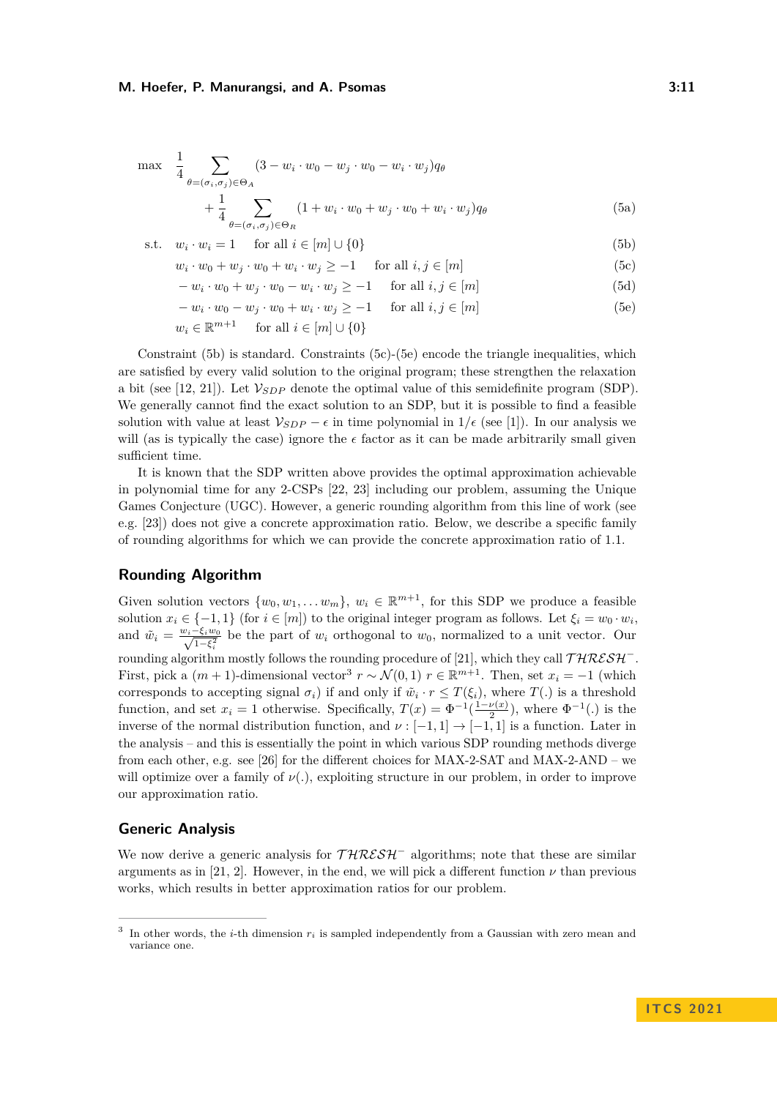$$
\max \frac{1}{4} \sum_{\theta = (\sigma_i, \sigma_j) \in \Theta_A} (3 - w_i \cdot w_0 - w_j \cdot w_0 - w_i \cdot w_j) q_\theta + \frac{1}{4} \sum_{\theta = (\sigma_i, \sigma_j) \in \Theta_R} (1 + w_i \cdot w_0 + w_j \cdot w_0 + w_i \cdot w_j) q_\theta \tag{5a}
$$

$$
s.t. \t w_i \t w_i = 1 \t for all  $i \in [m] \cup \{0\}$ \t(5b)
$$

 $w_i \cdot w_0 + w_j \cdot w_0 + w_i \cdot w_j \ge -1$  for all  $i, j \in [m]$  (5c)

$$
-w_i \cdot w_0 + w_j \cdot w_0 - w_i \cdot w_j \ge -1 \quad \text{for all } i, j \in [m]
$$
\n
$$
(5d)
$$

<span id="page-10-4"></span><span id="page-10-2"></span><span id="page-10-1"></span><span id="page-10-0"></span>
$$
-w_i \cdot w_0 - w_j \cdot w_0 + w_i \cdot w_j \ge -1 \quad \text{for all } i, j \in [m]
$$
 (5e)

$$
w_i \in \mathbb{R}^{m+1} \quad \text{ for all } i \in [m] \cup \{0\}
$$

Constraint [\(5b\)](#page-10-0) is standard. Constraints [\(5c\)](#page-10-1)-[\(5e\)](#page-10-2) encode the triangle inequalities, which are satisfied by every valid solution to the original program; these strengthen the relaxation a bit (see [\[12,](#page-18-17) [21\]](#page-18-18)). Let  $V_{SDP}$  denote the optimal value of this semidefinite program (SDP). We generally cannot find the exact solution to an SDP, but it is possible to find a feasible solution with value at least  $V_{SDP} - \epsilon$  in time polynomial in  $1/\epsilon$  (see [\[1\]](#page-18-19)). In our analysis we will (as is typically the case) ignore the  $\epsilon$  factor as it can be made arbitrarily small given sufficient time.

It is known that the SDP written above provides the optimal approximation achievable in polynomial time for any 2-CSPs [\[22,](#page-18-20) [23\]](#page-18-21) including our problem, assuming the Unique Games Conjecture (UGC). However, a generic rounding algorithm from this line of work (see e.g. [\[23\]](#page-18-21)) does not give a concrete approximation ratio. Below, we describe a specific family of rounding algorithms for which we can provide the concrete approximation ratio of 1.1.

### **Rounding Algorithm**

Given solution vectors  $\{w_0, w_1, \ldots w_m\}$ ,  $w_i \in \mathbb{R}^{m+1}$ , for this SDP we produce a feasible solution  $x_i \in \{-1, 1\}$  (for  $i \in [m]$ ) to the original integer program as follows. Let  $\xi_i = w_0 \cdot w_i$ , and  $\tilde{w}_i = \frac{w_i - \xi_i w_0}{\sqrt{1 - \xi_i^2}}$  be the part of  $w_i$  orthogonal to  $w_0$ , normalized to a unit vector. Our rounding algorithm mostly follows the rounding procedure of [\[21\]](#page-18-18), which they call  $THRESH^-$ . First, pick a  $(m + 1)$ -dimensional vector<sup>[3](#page-10-3)</sup>  $r \sim \mathcal{N}(0, 1)$   $r \in \mathbb{R}^{m+1}$ . Then, set  $x_i = -1$  (which corresponds to accepting signal  $\sigma_i$ ) if and only if  $\tilde{w}_i \cdot r \leq T(\xi_i)$ , where  $T(.)$  is a threshold function, and set  $x_i = 1$  otherwise. Specifically,  $T(x) = \Phi^{-1}(\frac{1-\nu(x)}{2})$  $\frac{\nu(x)}{2}$ , where  $\Phi^{-1}(.)$  is the inverse of the normal distribution function, and  $\nu : [-1,1] \rightarrow [-1,1]$  is a function. Later in the analysis – and this is essentially the point in which various SDP rounding methods diverge from each other, e.g. see [\[26\]](#page-19-3) for the different choices for MAX-2-SAT and MAX-2-AND – we will optimize over a family of  $\nu(.)$ , exploiting structure in our problem, in order to improve our approximation ratio.

### **Generic Analysis**

We now derive a generic analysis for  $THRESH^-$  algorithms; note that these are similar arguments as in [\[21,](#page-18-18) [2\]](#page-18-22). However, in the end, we will pick a different function  $\nu$  than previous works, which results in better approximation ratios for our problem.

<span id="page-10-3"></span><sup>3</sup> In other words, the *i*-th dimension *r<sup>i</sup>* is sampled independently from a Gaussian with zero mean and variance one.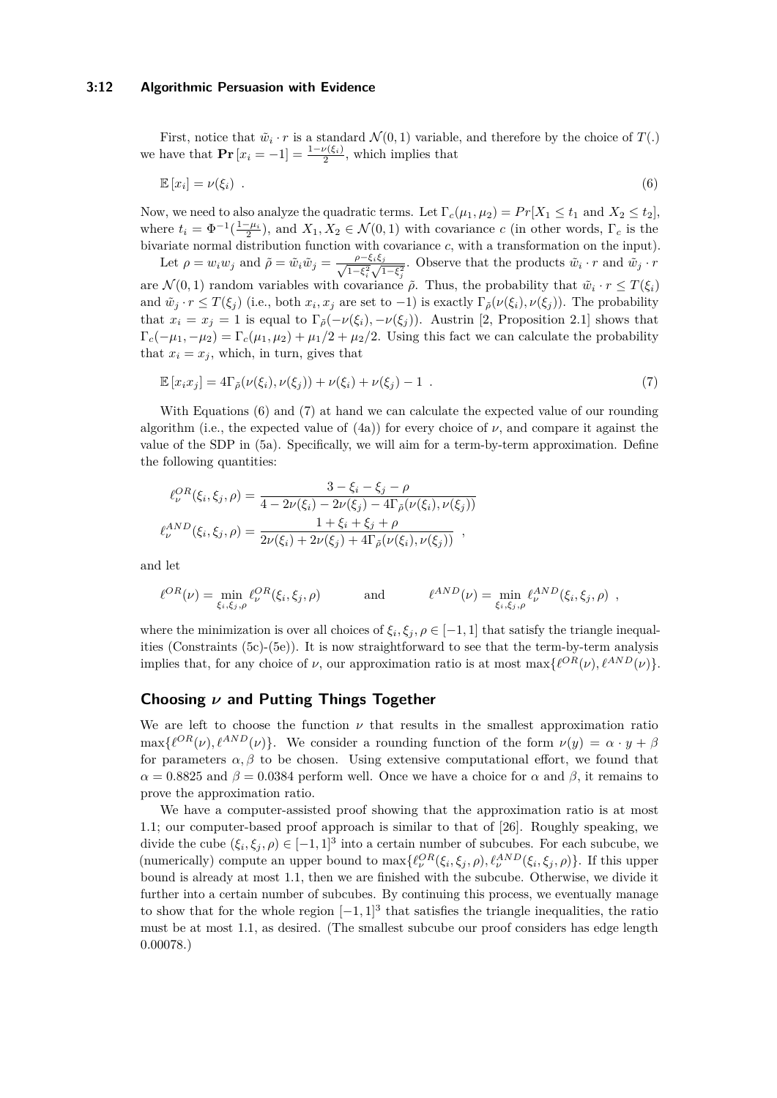### **3:12 Algorithmic Persuasion with Evidence**

First, notice that  $\tilde{w}_i \cdot r$  is a standard  $\mathcal{N}(0,1)$  variable, and therefore by the choice of  $T(.)$ we have that  $\mathbf{Pr}\left[x_i = -1\right] = \frac{1 - \nu(\xi_i)}{2}$ , which implies that

<span id="page-11-0"></span>
$$
\mathbb{E}\left[x_i\right] = \nu(\xi_i) \tag{6}
$$

Now, we need to also analyze the quadratic terms. Let  $\Gamma_c(\mu_1, \mu_2) = Pr[X_1 \le t_1 \text{ and } X_2 \le t_2],$ where  $t_i = \Phi^{-1}(\frac{1-\mu_i}{2})$ , and  $X_1, X_2 \in \mathcal{N}(0,1)$  with covariance *c* (in other words,  $\Gamma_c$  is the bivariate normal distribution function with covariance *c*, with a transformation on the input).

Let  $\rho = w_i w_j$  and  $\tilde{\rho} = \tilde{w}_i \tilde{w}_j = \frac{\rho - \xi_i \xi_j}{\sqrt{1 - \xi_i^2} \sqrt{1 - \xi_j^2}}$  $\frac{\rho - \xi_i \xi_j}{1 - \xi_i^2 \sqrt{1 - \xi_j^2}}$ . Observe that the products  $\tilde{w}_i \cdot r$  and  $\tilde{w}_j \cdot r$ are  $\mathcal{N}(0,1)$  random variables with covariance  $\tilde{\rho}$ . Thus, the probability that  $\tilde{w}_i \cdot r \leq T(\xi_i)$ and  $\tilde{w}_j \cdot r \leq T(\xi_j)$  (i.e., both  $x_i, x_j$  are set to -1) is exactly  $\Gamma_{\tilde{\rho}}(\nu(\xi_i), \nu(\xi_j))$ . The probability that  $x_i = x_j = 1$  is equal to  $\Gamma_{\tilde{\rho}}(-\nu(\xi_i), -\nu(\xi_j))$ . Austrin [\[2,](#page-18-22) Proposition 2.1] shows that  $\Gamma_c(-\mu_1, -\mu_2) = \Gamma_c(\mu_1, \mu_2) + \mu_1/2 + \mu_2/2$ . Using this fact we can calculate the probability that  $x_i = x_j$ , which, in turn, gives that

<span id="page-11-1"></span>
$$
\mathbb{E}\left[x_i x_j\right] = 4\Gamma_{\tilde{\rho}}(\nu(\xi_i), \nu(\xi_j)) + \nu(\xi_i) + \nu(\xi_j) - 1 \tag{7}
$$

With Equations [\(6\)](#page-11-0) and [\(7\)](#page-11-1) at hand we can calculate the expected value of our rounding algorithm (i.e., the expected value of  $(4a)$ ) for every choice of  $\nu$ , and compare it against the value of the SDP in [\(5a\)](#page-10-4). Specifically, we will aim for a term-by-term approximation. Define the following quantities:

$$
\ell_{\nu}^{OR}(\xi_i, \xi_j, \rho) = \frac{3 - \xi_i - \xi_j - \rho}{4 - 2\nu(\xi_i) - 2\nu(\xi_j) - 4\Gamma_{\tilde{\rho}}(\nu(\xi_i), \nu(\xi_j))}
$$
  

$$
\ell_{\nu}^{AND}(\xi_i, \xi_j, \rho) = \frac{1 + \xi_i + \xi_j + \rho}{2\nu(\xi_i) + 2\nu(\xi_j) + 4\Gamma_{\tilde{\rho}}(\nu(\xi_i), \nu(\xi_j))},
$$

and let

$$
\ell^{OR}(\nu) = \min_{\xi_i, \xi_j, \rho} \ell^{OR}_{\nu}(\xi_i, \xi_j, \rho) \quad \text{and} \quad \ell^{AND}(\nu) = \min_{\xi_i, \xi_j, \rho} \ell^{AND}_{\nu}(\xi_i, \xi_j, \rho) ,
$$

where the minimization is over all choices of  $\xi_i, \xi_j, \rho \in [-1, 1]$  that satisfy the triangle inequalities (Constraints [\(5c\)](#page-10-1)-[\(5e\)](#page-10-2)). It is now straightforward to see that the term-by-term analysis implies that, for any choice of *ν*, our approximation ratio is at most  $\max\{\ell^{OR}(\nu), \ell^{AND}(\nu)\}.$ 

### **Choosing** *ν* **and Putting Things Together**

We are left to choose the function  $\nu$  that results in the smallest approximation ratio  $\max\{\ell^{OR}(\nu), \ell^{AND}(\nu)\}\$ . We consider a rounding function of the form  $\nu(y) = \alpha \cdot y + \beta$ for parameters  $\alpha, \beta$  to be chosen. Using extensive computational effort, we found that  $\alpha = 0.8825$  and  $\beta = 0.0384$  perform well. Once we have a choice for  $\alpha$  and  $\beta$ , it remains to prove the approximation ratio.

We have a computer-assisted proof showing that the approximation ratio is at most 1.1; our computer-based proof approach is similar to that of [\[26\]](#page-19-3). Roughly speaking, we divide the cube  $(\xi_i, \xi_j, \rho) \in [-1, 1]^3$  into a certain number of subcubes. For each subcube, we (numerically) compute an upper bound to  $\max\{\ell_{\nu}^{OR}(\xi_i,\xi_j,\rho),\ell_{\nu}^{AND}(\xi_i,\xi_j,\rho)\}\.$  If this upper bound is already at most 1.1, then we are finished with the subcube. Otherwise, we divide it further into a certain number of subcubes. By continuing this process, we eventually manage to show that for the whole region  $[-1, 1]^3$  that satisfies the triangle inequalities, the ratio must be at most 1.1, as desired. (The smallest subcube our proof considers has edge length 0.00078.)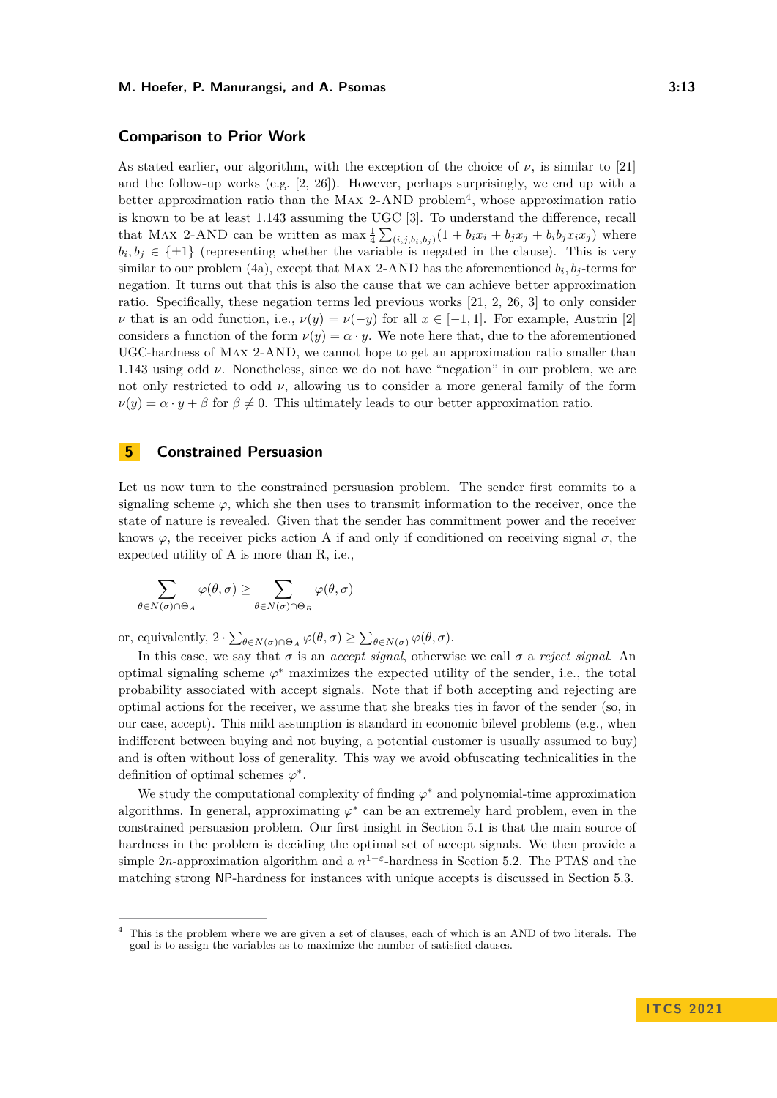### **Comparison to Prior Work**

As stated earlier, our algorithm, with the exception of the choice of  $\nu$ , is similar to [\[21\]](#page-18-18) and the follow-up works (e.g. [\[2,](#page-18-22) [26\]](#page-19-3)). However, perhaps surprisingly, we end up with a better approximation ratio than the MAX 2-AND problem<sup>[4](#page-12-0)</sup>, whose approximation ratio is known to be at least 1.143 assuming the UGC [\[3\]](#page-18-23). To understand the difference, recall that MAX 2-AND can be written as  $\max_{\frac{1}{4}} \sum_{(i,j,b_i,b_j)} (1 + b_i x_i + b_j x_j + b_i b_j x_i x_j)$  where  $b_i, b_j \in \{\pm 1\}$  (representing whether the variable is negated in the clause). This is very similar to our problem [\(4a\)](#page-9-0), except that MAX 2-AND has the aforementioned  $b_i, b_j$ -terms for negation. It turns out that this is also the cause that we can achieve better approximation ratio. Specifically, these negation terms led previous works [\[21,](#page-18-18) [2,](#page-18-22) [26,](#page-19-3) [3\]](#page-18-23) to only consider *ν* that is an odd function, i.e.,  $\nu(y) = \nu(-y)$  for all  $x \in [-1,1]$ . For example, Austrin [\[2\]](#page-18-22) considers a function of the form  $\nu(y) = \alpha \cdot y$ . We note here that, due to the aforementioned UGC-hardness of Max 2-AND, we cannot hope to get an approximation ratio smaller than 1.143 using odd *ν*. Nonetheless, since we do not have "negation" in our problem, we are not only restricted to odd  $\nu$ , allowing us to consider a more general family of the form  $\nu(y) = \alpha \cdot y + \beta$  for  $\beta \neq 0$ . This ultimately leads to our better approximation ratio.

# **5 Constrained Persuasion**

Let us now turn to the constrained persuasion problem. The sender first commits to a signaling scheme  $\varphi$ , which she then uses to transmit information to the receiver, once the state of nature is revealed. Given that the sender has commitment power and the receiver knows  $\varphi$ , the receiver picks action A if and only if conditioned on receiving signal  $\sigma$ , the expected utility of A is more than R, i.e.,

$$
\sum_{\theta \in N(\sigma) \cap \Theta_A} \varphi(\theta, \sigma) \ge \sum_{\theta \in N(\sigma) \cap \Theta_R} \varphi(\theta, \sigma)
$$

or, equivalently,  $2 \cdot \sum_{\theta \in N(\sigma) \cap \Theta_A} \varphi(\theta, \sigma) \ge \sum_{\theta \in N(\sigma)} \varphi(\theta, \sigma)$ .

In this case, we say that  $\sigma$  is an *accept signal*, otherwise we call  $\sigma$  a *reject signal*. An optimal signaling scheme *ϕ* <sup>∗</sup> maximizes the expected utility of the sender, i.e., the total probability associated with accept signals. Note that if both accepting and rejecting are optimal actions for the receiver, we assume that she breaks ties in favor of the sender (so, in our case, accept). This mild assumption is standard in economic bilevel problems (e.g., when indifferent between buying and not buying, a potential customer is usually assumed to buy) and is often without loss of generality. This way we avoid obfuscating technicalities in the definition of optimal schemes *ϕ* ∗ .

We study the computational complexity of finding  $\varphi^*$  and polynomial-time approximation algorithms. In general, approximating  $\varphi^*$  can be an extremely hard problem, even in the constrained persuasion problem. Our first insight in Section [5.1](#page-13-0) is that the main source of hardness in the problem is deciding the optimal set of accept signals. We then provide a simple 2*n*-approximation algorithm and a  $n^{1-\epsilon}$ -hardness in Section [5.2.](#page-13-1) The PTAS and the matching strong NP-hardness for instances with unique accepts is discussed in Section [5.3.](#page-14-0)

<span id="page-12-0"></span><sup>4</sup> This is the problem where we are given a set of clauses, each of which is an AND of two literals. The goal is to assign the variables as to maximize the number of satisfied clauses.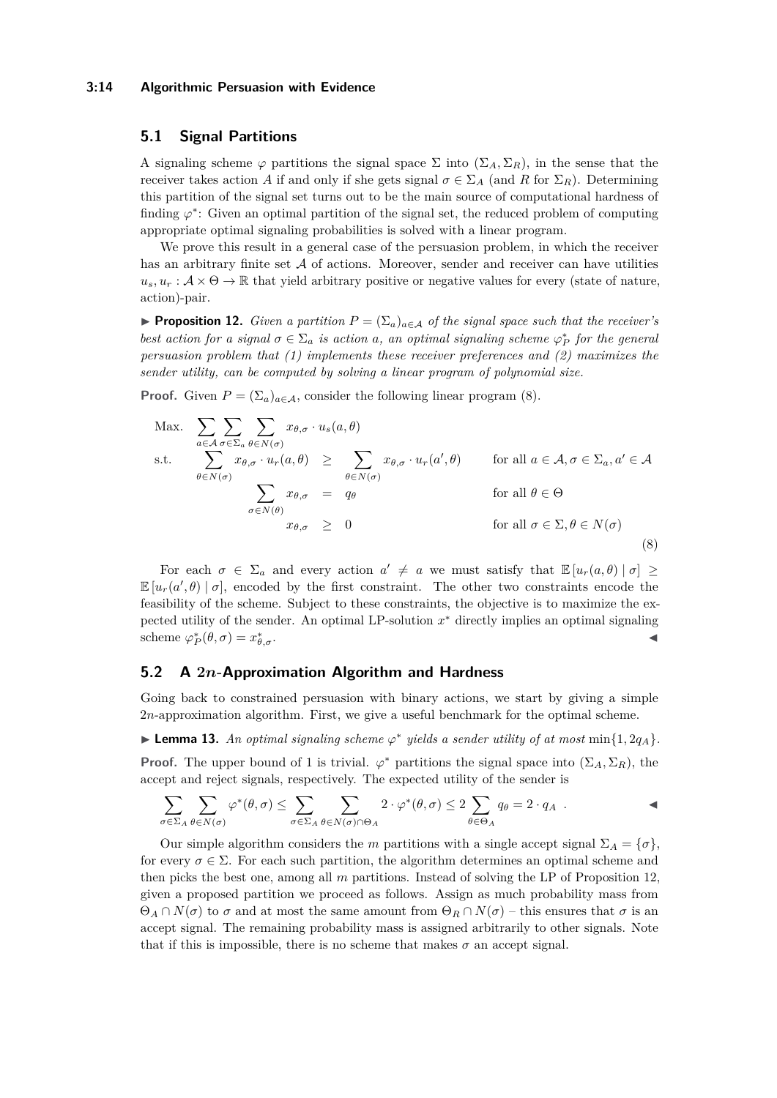### **3:14 Algorithmic Persuasion with Evidence**

## <span id="page-13-0"></span>**5.1 Signal Partitions**

A signaling scheme  $\varphi$  partitions the signal space  $\Sigma$  into  $(\Sigma_A, \Sigma_R)$ , in the sense that the receiver takes action *A* if and only if she gets signal *σ* ∈ Σ*<sup>A</sup>* (and *R* for Σ*R*). Determining this partition of the signal set turns out to be the main source of computational hardness of finding  $\varphi^*$ : Given an optimal partition of the signal set, the reduced problem of computing appropriate optimal signaling probabilities is solved with a linear program.

We prove this result in a general case of the persuasion problem, in which the receiver has an arbitrary finite set  $A$  of actions. Moreover, sender and receiver can have utilities  $u_s, u_r : \mathcal{A} \times \Theta \to \mathbb{R}$  that yield arbitrary positive or negative values for every (state of nature, action)-pair.

<span id="page-13-3"></span>**► Proposition 12.** *Given a partition*  $P = (\Sigma_a)_{a \in \mathcal{A}}$  *of the signal space such that the receiver's best action for a signal*  $\sigma \in \Sigma_a$  *is action a, an optimal signaling scheme*  $\varphi_P^*$  *for the general persuasion problem that (1) implements these receiver preferences and (2) maximizes the sender utility, can be computed by solving a linear program of polynomial size.*

**Proof.** Given  $P = (\Sigma_a)_{a \in \mathcal{A}}$ , consider the following linear program [\(8\)](#page-13-2).

<span id="page-13-2"></span>Max. 
$$
\sum_{a \in \mathcal{A}} \sum_{\sigma \in \Sigma_a} \sum_{\theta \in N(\sigma)} x_{\theta, \sigma} \cdot u_s(a, \theta)
$$
  
s.t. 
$$
\sum_{\theta \in N(\sigma)} x_{\theta, \sigma} \cdot u_r(a, \theta) \ge \sum_{\theta \in N(\sigma)} x_{\theta, \sigma} \cdot u_r(a', \theta) \quad \text{for all } a \in \mathcal{A}, \sigma \in \Sigma_a, a' \in \mathcal{A}
$$

$$
\sum_{\sigma \in N(\theta)} x_{\theta, \sigma} = q_{\theta} \quad \text{for all } \theta \in \Theta
$$

$$
x_{\theta, \sigma} \ge 0 \quad \text{for all } \sigma \in \Sigma, \theta \in N(\sigma)
$$
(8)

For each  $\sigma \in \Sigma_a$  and every action  $a' \neq a$  we must satisfy that  $\mathbb{E}[u_r(a, \theta) | \sigma] \geq$  $\mathbb{E}[u_r(a',\theta) | \sigma]$ , encoded by the first constraint. The other two constraints encode the feasibility of the scheme. Subject to these constraints, the objective is to maximize the expected utility of the sender. An optimal LP-solution  $x^*$  directly implies an optimal signaling scheme  $\varphi_P^*(\theta, \sigma) = x^*_{\theta}$ *θ,σ*. <sup>J</sup>

## <span id="page-13-1"></span>**5.2 A 2***n***-Approximation Algorithm and Hardness**

Going back to constrained persuasion with binary actions, we start by giving a simple 2*n*-approximation algorithm. First, we give a useful benchmark for the optimal scheme.

<span id="page-13-4"></span>► **Lemma 13.** *An optimal signaling scheme*  $\varphi^*$  *yields a sender utility of at most* min $\{1, 2q_A\}$ *.* 

**Proof.** The upper bound of 1 is trivial.  $\varphi^*$  partitions the signal space into  $(\Sigma_A, \Sigma_R)$ , the accept and reject signals, respectively. The expected utility of the sender is

$$
\sum_{\sigma \in \Sigma_A} \sum_{\theta \in N(\sigma)} \varphi^*(\theta, \sigma) \leq \sum_{\sigma \in \Sigma_A} \sum_{\theta \in N(\sigma) \cap \Theta_A} 2 \cdot \varphi^*(\theta, \sigma) \leq 2 \sum_{\theta \in \Theta_A} q_\theta = 2 \cdot q_A \quad \blacktriangleleft
$$

Our simple algorithm considers the *m* partitions with a single accept signal  $\Sigma_A = \{\sigma\}$ , for every  $\sigma \in \Sigma$ . For each such partition, the algorithm determines an optimal scheme and then picks the best one, among all *m* partitions. Instead of solving the LP of Proposition [12,](#page-13-3) given a proposed partition we proceed as follows. Assign as much probability mass from  $\Theta_A \cap N(\sigma)$  to  $\sigma$  and at most the same amount from  $\Theta_R \cap N(\sigma)$  – this ensures that  $\sigma$  is an accept signal. The remaining probability mass is assigned arbitrarily to other signals. Note that if this is impossible, there is no scheme that makes  $\sigma$  an accept signal.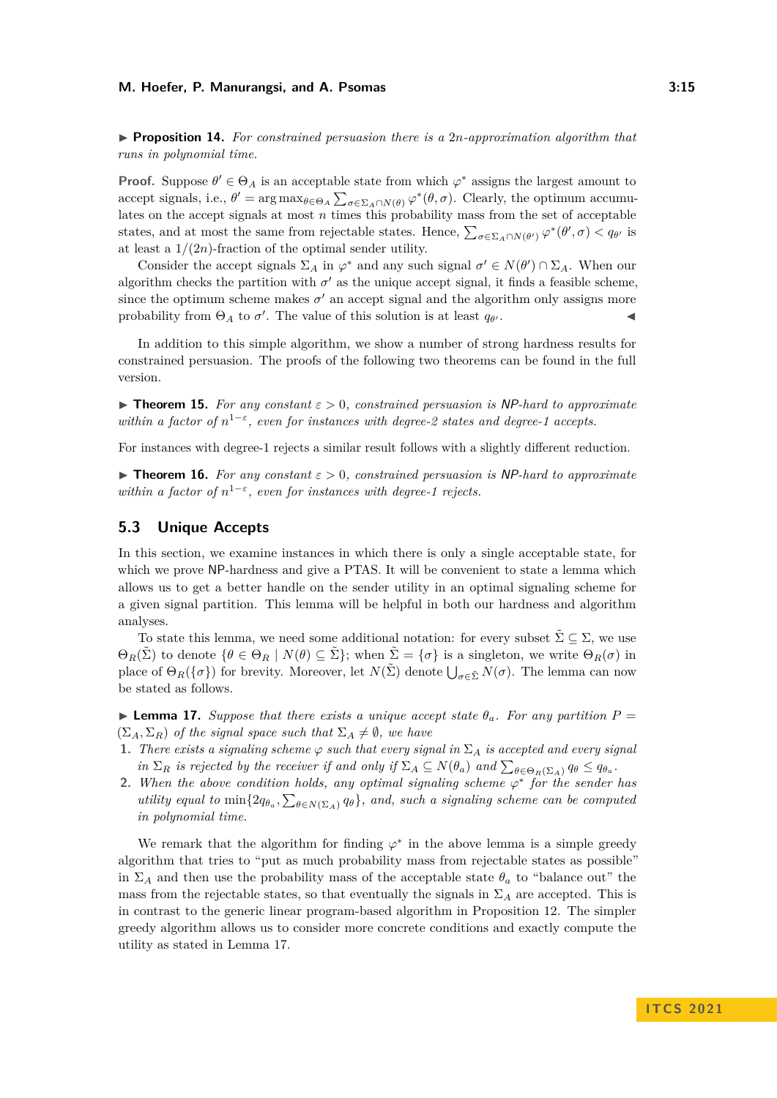I **Proposition 14.** *For constrained persuasion there is a* 2*n-approximation algorithm that runs in polynomial time.*

**Proof.** Suppose  $\theta' \in \Theta_A$  is an acceptable state from which  $\varphi^*$  assigns the largest amount to accept signals, i.e.,  $\theta' = \arg \max_{\theta \in \Theta_A} \sum_{\sigma \in \Sigma_A \cap N(\theta)} \varphi^*(\theta, \sigma)$ . Clearly, the optimum accumulates on the accept signals at most *n* times this probability mass from the set of acceptable states, and at most the same from rejectable states. Hence,  $\sum_{\sigma \in \Sigma_A \cap N(\theta')} \varphi^*(\theta', \sigma) < q_{\theta'}$  is at least a  $1/(2n)$ -fraction of the optimal sender utility.

Consider the accept signals  $\Sigma_A$  in  $\varphi^*$  and any such signal  $\sigma' \in N(\theta') \cap \Sigma_A$ . When our algorithm checks the partition with  $\sigma'$  as the unique accept signal, it finds a feasible scheme, since the optimum scheme makes  $\sigma'$  an accept signal and the algorithm only assigns more probability from  $\Theta_A$  to  $\sigma'$ . The value of this solution is at least  $q_\theta$  $\alpha$  . The set of  $\mathcal{A}$ 

In addition to this simple algorithm, we show a number of strong hardness results for constrained persuasion. The proofs of the following two theorems can be found in the full version.

**Find 15.** For any constant  $\varepsilon > 0$ , constrained persuasion is NP-hard to approximate *within a factor of*  $n^{1-\epsilon}$ , even for instances with degree-2 states and degree-1 accepts.

For instances with degree-1 rejects a similar result follows with a slightly different reduction.

**Figure 16.** For any constant  $\varepsilon > 0$ , constrained persuasion is NP-hard to approximate *within a factor of*  $n^{1-\epsilon}$ , even for instances with degree-1 rejects.

### <span id="page-14-0"></span>**5.3 Unique Accepts**

In this section, we examine instances in which there is only a single acceptable state, for which we prove NP-hardness and give a PTAS. It will be convenient to state a lemma which allows us to get a better handle on the sender utility in an optimal signaling scheme for a given signal partition. This lemma will be helpful in both our hardness and algorithm analyses.

To state this lemma, we need some additional notation: for every subset  $\tilde{\Sigma} \subseteq \Sigma$ , we use  $\Theta_R(\tilde{\Sigma})$  to denote  $\{\theta \in \Theta_R \mid N(\theta) \subseteq \tilde{\Sigma}\}$ ; when  $\tilde{\Sigma} = {\sigma}$  is a singleton, we write  $\Theta_R(\sigma)$  in place of  $\Theta_R(\{\sigma\})$  for brevity. Moreover, let  $N(\tilde{\Sigma})$  denote  $\bigcup_{\sigma \in \tilde{\Sigma}} N(\sigma)$ . The lemma can now be stated as follows.

<span id="page-14-1"></span>**Lemma 17.** Suppose that there exists a unique accept state  $\theta_a$ . For any partition  $P =$  $(\Sigma_A, \Sigma_R)$  *of the signal space such that*  $\Sigma_A \neq \emptyset$ *, we have* 

- **1.** *There exists a signaling scheme*  $\varphi$  *such that every signal in*  $\Sigma_A$  *is accepted and every signal in*  $\Sigma_R$  *is rejected by the receiver if and only if*  $\Sigma_A \subseteq N(\theta_a)$  *and*  $\sum_{\theta \in \Theta_R(\Sigma_A)} q_\theta \leq q_{\theta_a}$ .
- **2.** *When the above condition holds, any optimal signaling scheme ϕ* ∗ *for the sender has utility equal to*  $\min\{2q_{\theta_a}, \sum_{\theta \in N(\Sigma_A)} q_{\theta}\}\$ , and, such a signaling scheme can be computed *in polynomial time.*

We remark that the algorithm for finding  $\varphi^*$  in the above lemma is a simple greedy algorithm that tries to "put as much probability mass from rejectable states as possible" in  $\Sigma_A$  and then use the probability mass of the acceptable state  $\theta_a$  to "balance out" the mass from the rejectable states, so that eventually the signals in  $\Sigma_A$  are accepted. This is in contrast to the generic linear program-based algorithm in Proposition [12.](#page-13-3) The simpler greedy algorithm allows us to consider more concrete conditions and exactly compute the utility as stated in Lemma [17.](#page-14-1)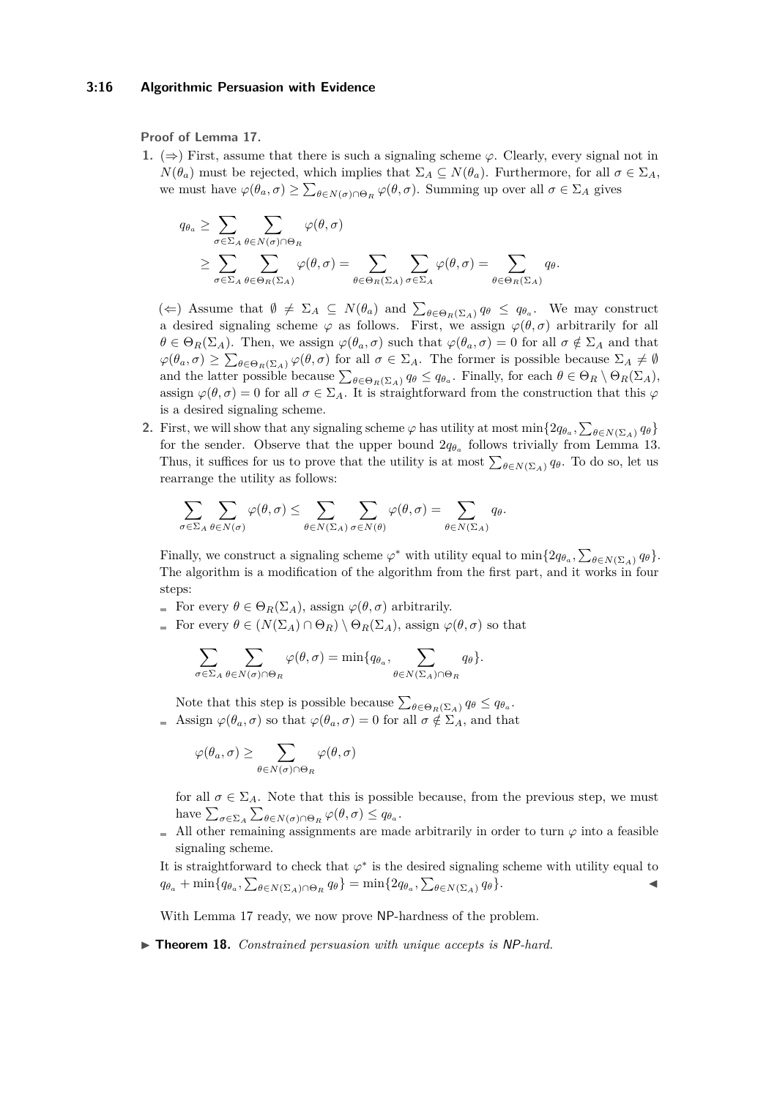#### **3:16 Algorithmic Persuasion with Evidence**

### **Proof of Lemma [17.](#page-14-1)**

**1.** (⇒) First, assume that there is such a signaling scheme *ϕ*. Clearly, every signal not in *N*(*θ*<sub>*a*</sub>) must be rejected, which implies that  $\Sigma_A \subseteq N(\theta_a)$ . Furthermore, for all  $\sigma \in \Sigma_A$ , we must have  $\varphi(\theta_a, \sigma) \ge \sum_{\theta \in N(\sigma) \cap \Theta_R} \varphi(\theta, \sigma)$ . Summing up over all  $\sigma \in \Sigma_A$  gives

$$
q_{\theta_a} \geq \sum_{\sigma \in \Sigma_A} \sum_{\theta \in N(\sigma) \cap \Theta_R} \varphi(\theta, \sigma)
$$
  
 
$$
\geq \sum_{\sigma \in \Sigma_A} \sum_{\theta \in \Theta_R(\Sigma_A)} \varphi(\theta, \sigma) = \sum_{\theta \in \Theta_R(\Sigma_A)} \sum_{\sigma \in \Sigma_A} \varphi(\theta, \sigma) = \sum_{\theta \in \Theta_R(\Sigma_A)} q_{\theta}.
$$

 $(\Leftarrow)$  Assume that  $\emptyset \neq \Sigma_A \subseteq N(\theta_a)$  and  $\sum_{\theta \in \Theta_R(\Sigma_A)} q_\theta \leq q_{\theta_a}$ . We may construct a desired signaling scheme  $\varphi$  as follows. First, we assign  $\varphi(\theta, \sigma)$  arbitrarily for all  $\theta \in \Theta_R(\Sigma_A)$ . Then, we assign  $\varphi(\theta_a, \sigma)$  such that  $\varphi(\theta_a, \sigma) = 0$  for all  $\sigma \notin \Sigma_A$  and that  $\varphi(\theta_a, \sigma) \ge \sum_{\theta \in \Theta_R(\Sigma_A)} \varphi(\theta, \sigma)$  for all  $\sigma \in \Sigma_A$ . The former is possible because  $\Sigma_A \ne \emptyset$ and the latter possible because  $\sum_{\theta \in \Theta_R(\Sigma_A)} q_{\theta} \leq q_{\theta_a}$ . Finally, for each  $\theta \in \Theta_R \setminus \Theta_R(\Sigma_A)$ , assign  $\varphi(\theta, \sigma) = 0$  for all  $\sigma \in \Sigma_A$ . It is straightforward from the construction that this  $\varphi$ is a desired signaling scheme.

**2.** First, we will show that any signaling scheme  $\varphi$  has utility at most min $\{2q_{\theta_a}, \sum_{\theta \in N(\Sigma_A)} q_{\theta}\}\$ for the sender. Observe that the upper bound  $2q_{\theta_a}$  follows trivially from Lemma [13.](#page-13-4) Thus, it suffices for us to prove that the utility is at most  $\sum_{\theta \in N(\Sigma_A)} q_\theta$ . To do so, let us rearrange the utility as follows:

$$
\sum_{\sigma \in \Sigma_A} \sum_{\theta \in N(\sigma)} \varphi(\theta, \sigma) \le \sum_{\theta \in N(\Sigma_A)} \sum_{\sigma \in N(\theta)} \varphi(\theta, \sigma) = \sum_{\theta \in N(\Sigma_A)} q_\theta.
$$

Finally, we construct a signaling scheme  $\varphi^*$  with utility equal to  $\min\{2q_{\theta_a}, \sum_{\theta \in N(\Sigma_A)} q_{\theta}\}.$ The algorithm is a modification of the algorithm from the first part, and it works in four steps:

- For every  $\theta \in \Theta_R(\Sigma_A)$ , assign  $\varphi(\theta, \sigma)$  arbitrarily.
- For every  $\theta \in (N(\Sigma_A) \cap \Theta_R) \setminus \Theta_R(\Sigma_A)$ , assign  $\varphi(\theta, \sigma)$  so that

$$
\sum_{\sigma \in \Sigma_A} \sum_{\theta \in N(\sigma) \cap \Theta_R} \varphi(\theta, \sigma) = \min \{ q_{\theta_a}, \sum_{\theta \in N(\Sigma_A) \cap \Theta_R} q_{\theta} \}.
$$

Note that this step is possible because  $\sum_{\theta \in \Theta_R(\Sigma_A)} q_{\theta} \leq q_{\theta_a}$ . Assign  $\varphi(\theta_a, \sigma)$  so that  $\varphi(\theta_a, \sigma) = 0$  for all  $\sigma \notin \Sigma_A$ , and that

$$
\varphi(\theta_a, \sigma) \ge \sum_{\theta \in N(\sigma) \cap \Theta_R} \varphi(\theta, \sigma)
$$

for all  $\sigma \in \Sigma_A$ . Note that this is possible because, from the previous step, we must have  $\sum_{\sigma \in \Sigma_A} \sum_{\theta \in N(\sigma) \cap \Theta_R} \varphi(\theta, \sigma) \leq q_{\theta_a}$ .

- All other remaining assignments are made arbitrarily in order to turn  $\varphi$  into a feasible signaling scheme.
- It is straightforward to check that  $\varphi^*$  is the desired signaling scheme with utility equal to  $q_{\theta_a}$  + min{ $q_{\theta_a}$ ,  $\sum_{\theta \in N(\Sigma_A) \cap \Theta_R} q_{\theta}$ } = min{ $2q_{\theta_a}$ ,  $\sum_{\theta \in N(\Sigma_A)} q_{\theta}$ }.

With Lemma [17](#page-14-1) ready, we now prove NP-hardness of the problem.

I **Theorem 18.** *Constrained persuasion with unique accepts is* NP*-hard.*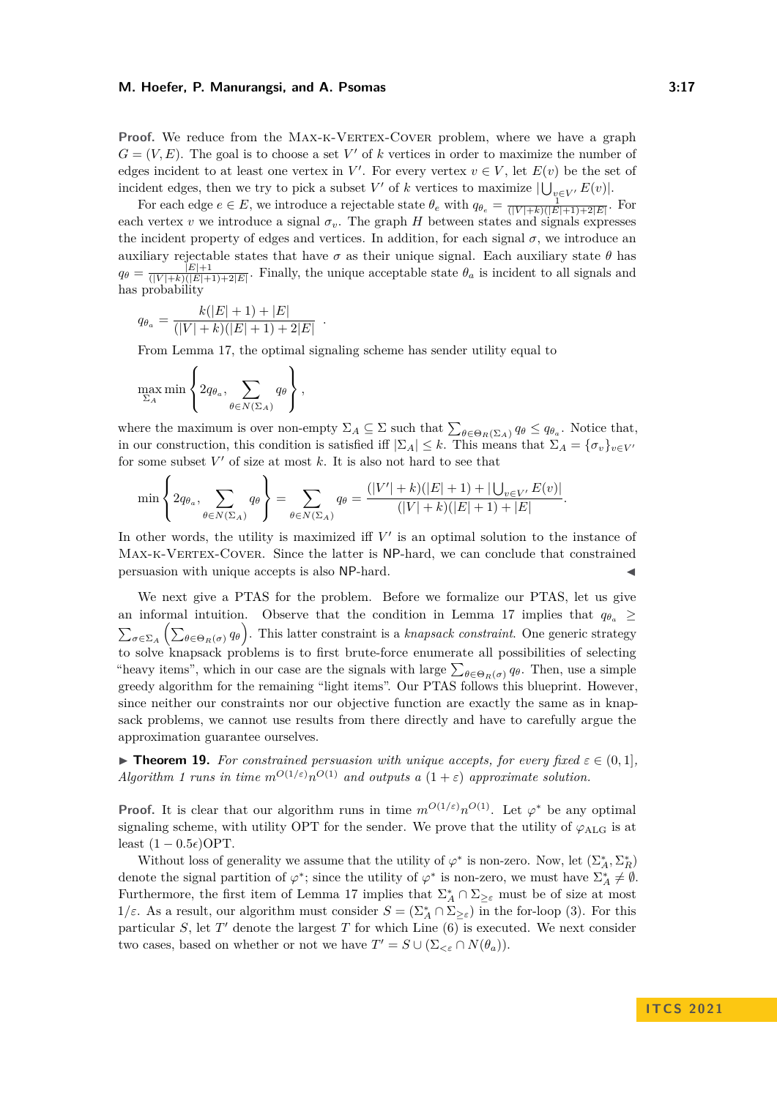**Proof.** We reduce from the MAX-K-VERTEX-COVER problem, where we have a graph  $G = (V, E)$ . The goal is to choose a set V' of k vertices in order to maximize the number of edges incident to at least one vertex in  $V'$ . For every vertex  $v \in V$ , let  $E(v)$  be the set of incident edges, then we try to pick a subset *V*' of *k* vertices to maximize  $|\bigcup_{v \in V'} E(v)|$ .

For each edge  $e \in E$ , we introduce a rejectable state  $\theta_e$  with  $q_{\theta_e} = \frac{1}{(|V|+k)(|E|+1)+2|E|}$ . For each vertex *v* we introduce a signal  $\sigma_v$ . The graph *H* between states and signals expresses the incident property of edges and vertices. In addition, for each signal  $\sigma$ , we introduce an auxiliary rejectable states that have  $\sigma$  as their unique signal. Each auxiliary state  $\theta$  has  $q_{\theta} = \frac{|E|+1}{(|V|+k)(|E|+1)}$  $\frac{|E|+1}{(|V|+k)(|E|+1)+2|E|}$ . Finally, the unique acceptable state  $\theta_a$  is incident to all signals and has probability

$$
q_{\theta_a} = \frac{k(|E|+1) + |E|}{(|V|+k)(|E|+1) + 2|E|}
$$

From Lemma [17,](#page-14-1) the optimal signaling scheme has sender utility equal to

*.*

$$
\max_{\Sigma_A} \min \left\{ 2q_{\theta_a}, \sum_{\theta \in N(\Sigma_A)} q_{\theta} \right\},\,
$$

where the maximum is over non-empty  $\Sigma_A \subseteq \Sigma$  such that  $\sum_{\theta \in \Theta_R(\Sigma_A)} q_\theta \leq q_{\theta_a}$ . Notice that, in our construction, this condition is satisfied iff  $|\Sigma_A| \leq k$ . This means that  $\Sigma_A = {\sigma_v}_{v \in V}$ for some subset  $V'$  of size at most  $k$ . It is also not hard to see that

$$
\min\left\{2q_{\theta_a}, \sum_{\theta \in N(\Sigma_A)} q_{\theta}\right\} = \sum_{\theta \in N(\Sigma_A)} q_{\theta} = \frac{(|V'| + k)(|E| + 1) + |\bigcup_{v \in V'} E(v)|}{(|V| + k)(|E| + 1) + |E|}.
$$

In other words, the utility is maximized iff  $V'$  is an optimal solution to the instance of MAX-K-VERTEX-COVER. Since the latter is NP-hard, we can conclude that constrained persuasion with unique accepts is also NP-hard.

We next give a PTAS for the problem. Before we formalize our PTAS, let us give an informal intuition. Observe that the condition in Lemma [17](#page-14-1) implies that  $q_{\theta_a} \geq$  $\sum_{\sigma \in \Sigma_A} \left( \sum_{\theta \in \Theta_R(\sigma)} q_\theta \right)$ . This latter constraint is a *knapsack constraint*. One generic strategy to solve knapsack problems is to first brute-force enumerate all possibilities of selecting "heavy items", which in our case are the signals with large  $\sum_{\theta \in \Theta_R(\sigma)} q_\theta$ . Then, use a simple greedy algorithm for the remaining "light items". Our PTAS follows this blueprint. However, since neither our constraints nor our objective function are exactly the same as in knapsack problems, we cannot use results from there directly and have to carefully argue the approximation guarantee ourselves.

**► Theorem 19.** For constrained persuasion with unique accepts, for every fixed  $\varepsilon \in (0,1]$ , *Algorithm* [1](#page-17-0) *runs in time*  $m^{O(1/\varepsilon)}n^{O(1)}$  *and outputs* a  $(1+\varepsilon)$  *approximate solution.* 

**Proof.** It is clear that our algorithm runs in time  $m^{O(1/\varepsilon)}n^{O(1)}$ . Let  $\varphi^*$  be any optimal signaling scheme, with utility OPT for the sender. We prove that the utility of  $\varphi_{A L G}$  is at least  $(1 - 0.5\epsilon)$ OPT.

Without loss of generality we assume that the utility of  $\varphi^*$  is non-zero. Now, let  $(\Sigma_A^*, \Sigma_R^*)$ denote the signal partition of  $\varphi^*$ ; since the utility of  $\varphi^*$  is non-zero, we must have  $\Sigma_A^* \neq \emptyset$ . Furthermore, the first item of Lemma [17](#page-14-1) implies that  $\Sigma_A^* \cap \Sigma_{\geq \varepsilon}$  must be of size at most  $1/\varepsilon$ . As a result, our algorithm must consider  $S = (\Sigma_A^* \cap \Sigma_{\geq \varepsilon})$  in the for-loop [\(3\)](#page-17-1). For this particular  $S$ , let  $T'$  denote the largest  $T$  for which Line  $(6)$  is executed. We next consider two cases, based on whether or not we have  $T' = S \cup (\Sigma_{\leq \varepsilon} \cap N(\theta_a)).$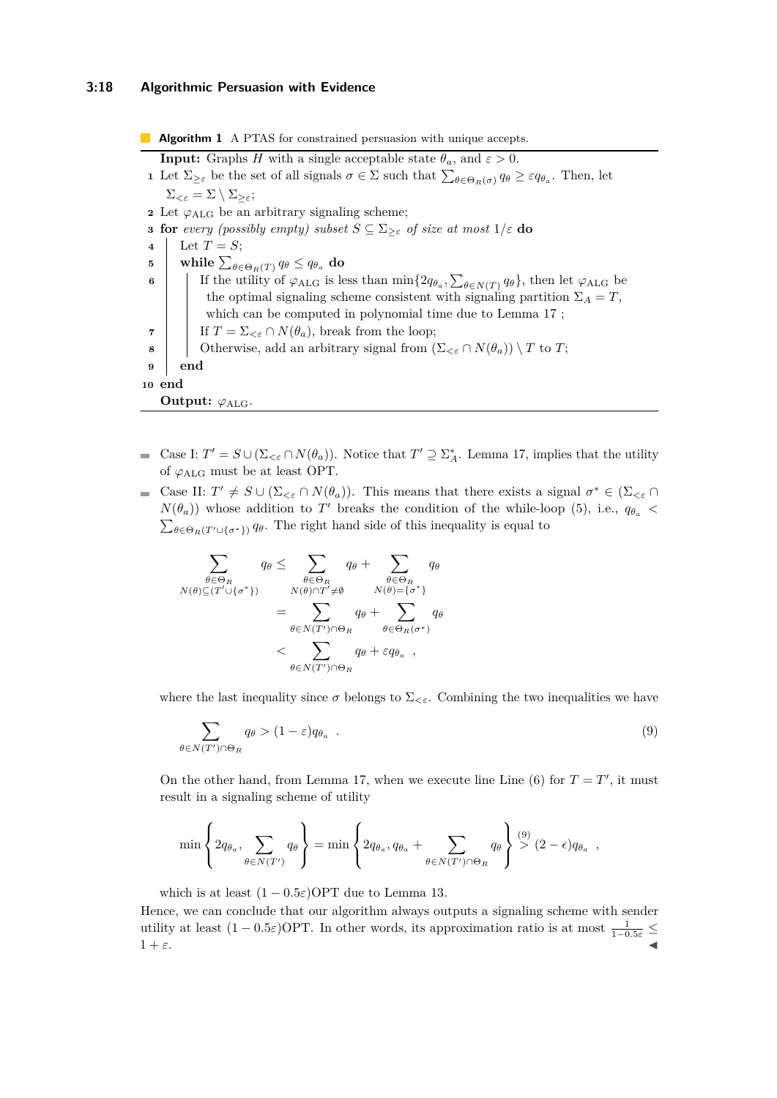### **3:18 Algorithmic Persuasion with Evidence**

<span id="page-17-3"></span><span id="page-17-2"></span><span id="page-17-1"></span>**Algorithm 1** A PTAS for constrained persuasion with unique accepts. **Input:** Graphs *H* with a single acceptable state  $\theta_a$ , and  $\varepsilon > 0$ . **1** Let  $\Sigma_{\geq \varepsilon}$  be the set of all signals  $\sigma \in \Sigma$  such that  $\sum_{\theta \in \Theta_R(\sigma)} q_\theta \geq \varepsilon q_{\theta_a}$ . Then, let  $\Sigma_{\leq \varepsilon} = \Sigma \setminus \Sigma_{\geq \varepsilon};$ **2** Let  $\varphi_{\text{ALG}}$  be an arbitrary signaling scheme; **3 for** *every (possibly empty) subset*  $S \subseteq \Sigma_{\geq \varepsilon}$  *of size at most*  $1/\varepsilon$  **do**  $4 \mid \text{Let } T = S;$  $\textbf{b}$  **while**  $\sum_{\theta \in \Theta_R(T)} q_{\theta} \leq q_{\theta_a} \textbf{ do}$ **6** If the utility of  $\varphi_{\text{ALG}}$  is less than  $\min\{2q_{\theta_a}, \sum_{\theta \in N(T)} q_{\theta}\}\)$ , then let  $\varphi_{\text{ALG}}$  be the optimal signaling scheme consistent with signaling partition  $\Sigma_A = T$ , which can be computed in polynomial time due to Lemma [17](#page-14-1) ; **7** | If  $T = \Sigma_{\leq \varepsilon} \cap N(\theta_a)$ , break from the loop; **8** Otherwise, add an arbitrary signal from  $(\Sigma_{\leq \varepsilon} \cap N(\theta_a)) \setminus T$  to *T*; **9 end 10 end Output:** *ϕ*ALG.

- <span id="page-17-0"></span>Case I:  $T' = S \cup (\Sigma_{\leq \varepsilon} \cap N(\theta_a))$ . Notice that  $T' \supseteq \Sigma_A^*$ . Lemma [17,](#page-14-1) implies that the utility of  $\varphi_{\rm ALG}$  must be at least OPT.
- Case II:  $T' \neq S \cup (\Sigma_{\leq \varepsilon} \cap N(\theta_a))$ . This means that there exists a signal  $\sigma^* \in (\Sigma_{\leq \varepsilon} \cap N(\theta_a))$ .  $N(\theta_a)$  whose addition to *T*<sup>'</sup> breaks the condition of the while-loop [\(5\)](#page-17-3), i.e.,  $q_{\theta_a}$  <  $\sum_{\theta \in \Theta_R(T' \cup {\{\sigma^*\}})} q_\theta$ . The right hand side of this inequality is equal to

$$
\sum_{\theta \in \Theta_R} q_{\theta} \leq \sum_{\theta \in \Theta_R} q_{\theta} + \sum_{\theta \in \Theta_R} q_{\theta}
$$
\n
$$
N(\theta) \subseteq (T' \cup \{\sigma^*\})
$$
\n
$$
= \sum_{\theta \in N(T') \cap \Theta_R} q_{\theta} + \sum_{\theta \in \Theta_R(\sigma^*)} q_{\theta}
$$
\n
$$
< \sum_{\theta \in N(T') \cap \Theta_R} q_{\theta} + \varepsilon q_{\theta_a},
$$

where the last inequality since  $\sigma$  belongs to  $\Sigma_{\leq \varepsilon}$ . Combining the two inequalities we have

<span id="page-17-4"></span>
$$
\sum_{\theta \in N(T') \cap \Theta_R} q_{\theta} > (1 - \varepsilon) q_{\theta_a} \quad . \tag{9}
$$

On the other hand, from Lemma [17,](#page-14-1) when we execute line Line [\(6\)](#page-17-2) for  $T = T'$ , it must result in a signaling scheme of utility

$$
\min\left\{2q_{\theta_a}, \sum_{\theta \in N(T')} q_{\theta}\right\} = \min\left\{2q_{\theta_a}, q_{\theta_a} + \sum_{\theta \in N(T') \cap \Theta_R} q_{\theta}\right\} \stackrel{(9)}{>} (2-\epsilon)q_{\theta_a} ,
$$

which is at least  $(1 - 0.5\varepsilon)$ OPT due to Lemma [13.](#page-13-4)

Hence, we can conclude that our algorithm always outputs a signaling scheme with sender utility at least  $(1 - 0.5\varepsilon)$ OPT. In other words, its approximation ratio is at most  $\frac{1}{1-0.5\varepsilon}$  $1 + \varepsilon$ .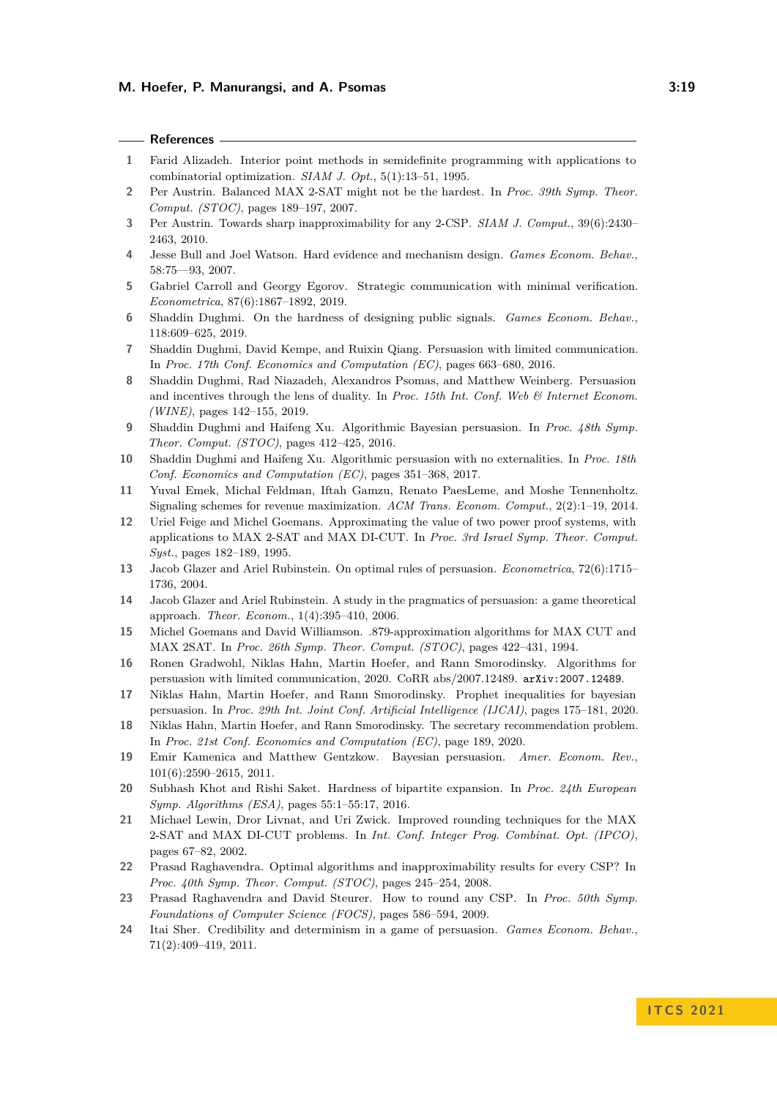#### **References**

- <span id="page-18-19"></span>**1** Farid Alizadeh. Interior point methods in semidefinite programming with applications to combinatorial optimization. *SIAM J. Opt.*, 5(1):13–51, 1995.
- <span id="page-18-22"></span>**2** Per Austrin. Balanced MAX 2-SAT might not be the hardest. In *Proc. 39th Symp. Theor. Comput. (STOC)*, pages 189–197, 2007.
- <span id="page-18-23"></span>**3** Per Austrin. Towards sharp inapproximability for any 2-CSP. *SIAM J. Comput.*, 39(6):2430– 2463, 2010.
- <span id="page-18-3"></span>**4** Jesse Bull and Joel Watson. Hard evidence and mechanism design. *Games Econom. Behav.*, 58:75––93, 2007.
- <span id="page-18-5"></span>**5** Gabriel Carroll and Georgy Egorov. Strategic communication with minimal verification. *Econometrica*, 87(6):1867–1892, 2019.
- <span id="page-18-7"></span>**6** Shaddin Dughmi. On the hardness of designing public signals. *Games Econom. Behav.*, 118:609–625, 2019.
- <span id="page-18-13"></span>**7** Shaddin Dughmi, David Kempe, and Ruixin Qiang. Persuasion with limited communication. In *Proc. 17th Conf. Economics and Computation (EC)*, pages 663–680, 2016.
- <span id="page-18-9"></span>**8** Shaddin Dughmi, Rad Niazadeh, Alexandros Psomas, and Matthew Weinberg. Persuasion and incentives through the lens of duality. In *Proc. 15th Int. Conf. Web & Internet Econom. (WINE)*, pages 142–155, 2019.
- <span id="page-18-8"></span>**9** Shaddin Dughmi and Haifeng Xu. Algorithmic Bayesian persuasion. In *Proc. 48th Symp. Theor. Comput. (STOC)*, pages 412–425, 2016.
- <span id="page-18-6"></span>**10** Shaddin Dughmi and Haifeng Xu. Algorithmic persuasion with no externalities. In *Proc. 18th Conf. Economics and Computation (EC)*, pages 351–368, 2017.
- <span id="page-18-10"></span>**11** Yuval Emek, Michal Feldman, Iftah Gamzu, Renato PaesLeme, and Moshe Tennenholtz. Signaling schemes for revenue maximization. *ACM Trans. Econom. Comput.*, 2(2):1–19, 2014.
- <span id="page-18-17"></span>**12** Uriel Feige and Michel Goemans. Approximating the value of two power proof systems, with applications to MAX 2-SAT and MAX DI-CUT. In *Proc. 3rd Israel Symp. Theor. Comput. Syst.*, pages 182–189, 1995.
- <span id="page-18-0"></span>**13** Jacob Glazer and Ariel Rubinstein. On optimal rules of persuasion. *Econometrica*, 72(6):1715– 1736, 2004.
- <span id="page-18-1"></span>**14** Jacob Glazer and Ariel Rubinstein. A study in the pragmatics of persuasion: a game theoretical approach. *Theor. Econom.*, 1(4):395–410, 2006.
- <span id="page-18-16"></span>**15** Michel Goemans and David Williamson. .879-approximation algorithms for MAX CUT and MAX 2SAT. In *Proc. 26th Symp. Theor. Comput. (STOC)*, pages 422–431, 1994.
- <span id="page-18-14"></span>**16** Ronen Gradwohl, Niklas Hahn, Martin Hoefer, and Rann Smorodinsky. Algorithms for persuasion with limited communication, 2020. CoRR abs/2007.12489. [arXiv:2007.12489](http://arxiv.org/abs/2007.12489).
- <span id="page-18-12"></span>**17** Niklas Hahn, Martin Hoefer, and Rann Smorodinsky. Prophet inequalities for bayesian persuasion. In *Proc. 29th Int. Joint Conf. Artificial Intelligence (IJCAI)*, pages 175–181, 2020.
- <span id="page-18-11"></span>**18** Niklas Hahn, Martin Hoefer, and Rann Smorodinsky. The secretary recommendation problem. In *Proc. 21st Conf. Economics and Computation (EC)*, page 189, 2020.
- <span id="page-18-2"></span>**19** Emir Kamenica and Matthew Gentzkow. Bayesian persuasion. *Amer. Econom. Rev.*, 101(6):2590–2615, 2011.
- <span id="page-18-15"></span>**20** Subhash Khot and Rishi Saket. Hardness of bipartite expansion. In *Proc. 24th European Symp. Algorithms (ESA)*, pages 55:1–55:17, 2016.
- <span id="page-18-18"></span>**21** Michael Lewin, Dror Livnat, and Uri Zwick. Improved rounding techniques for the MAX 2-SAT and MAX DI-CUT problems. In *Int. Conf. Integer Prog. Combinat. Opt. (IPCO)*, pages 67–82, 2002.
- <span id="page-18-20"></span>**22** Prasad Raghavendra. Optimal algorithms and inapproximability results for every CSP? In *Proc. 40th Symp. Theor. Comput. (STOC)*, pages 245–254, 2008.
- <span id="page-18-21"></span>**23** Prasad Raghavendra and David Steurer. How to round any CSP. In *Proc. 50th Symp. Foundations of Computer Science (FOCS)*, pages 586–594, 2009.
- <span id="page-18-4"></span>**24** Itai Sher. Credibility and determinism in a game of persuasion. *Games Econom. Behav.*, 71(2):409–419, 2011.